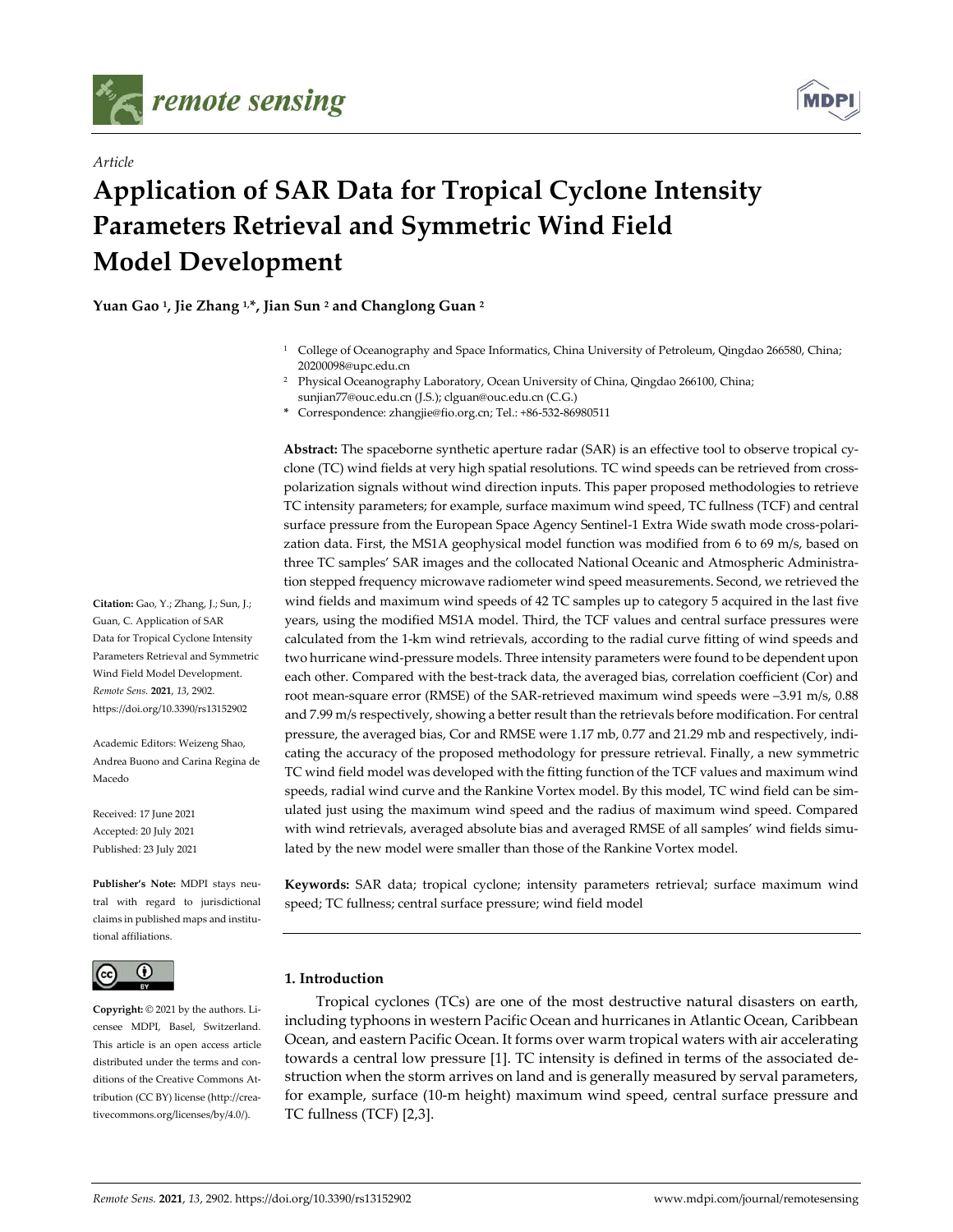

*Article*



# **Application of SAR Data for Tropical Cyclone Intensity Parameters Retrieval and Symmetric Wind Field Model Development**

**Yuan Gao 1, Jie Zhang 1,\*, Jian Sun 2 and Changlong Guan 2**

- <sup>1</sup> College of Oceanography and Space Informatics, China University of Petroleum, Qingdao 266580, China; 20200098@upc.edu.cn
- <sup>2</sup> Physical Oceanography Laboratory, Ocean University of China, Qingdao 266100, China; sunjian77@ouc.edu.cn (J.S.); clguan@ouc.edu.cn (C.G.)
- **\*** Correspondence: zhangjie@fio.org.cn; Tel.: +86-532-86980511

**Abstract:** The spaceborne synthetic aperture radar (SAR) is an effective tool to observe tropical cyclone (TC) wind fields at very high spatial resolutions. TC wind speeds can be retrieved from crosspolarization signals without wind direction inputs. This paper proposed methodologies to retrieve TC intensity parameters; for example, surface maximum wind speed, TC fullness (TCF) and central surface pressure from the European Space Agency Sentinel-1 Extra Wide swath mode cross-polarization data. First, the MS1A geophysical model function was modified from 6 to 69 m/s, based on three TC samples' SAR images and the collocated National Oceanic and Atmospheric Administration stepped frequency microwave radiometer wind speed measurements. Second, we retrieved the wind fields and maximum wind speeds of 42 TC samples up to category 5 acquired in the last five years, using the modified MS1A model. Third, the TCF values and central surface pressures were calculated from the 1-km wind retrievals, according to the radial curve fitting of wind speeds and two hurricane wind-pressure models. Three intensity parameters were found to be dependent upon each other. Compared with the best-track data, the averaged bias, correlation coefficient (Cor) and root mean-square error (RMSE) of the SAR-retrieved maximum wind speeds were –3.91 m/s, 0.88 and 7.99 m/s respectively, showing a better result than the retrievals before modification. For central pressure, the averaged bias, Cor and RMSE were 1.17 mb, 0.77 and 21.29 mb and respectively, indicating the accuracy of the proposed methodology for pressure retrieval. Finally, a new symmetric TC wind field model was developed with the fitting function of the TCF values and maximum wind speeds, radial wind curve and the Rankine Vortex model. By this model, TC wind field can be simulated just using the maximum wind speed and the radius of maximum wind speed. Compared with wind retrievals, averaged absolute bias and averaged RMSE of all samples' wind fields simulated by the new model were smaller than those of the Rankine Vortex model.

**Keywords:** SAR data; tropical cyclone; intensity parameters retrieval; surface maximum wind speed; TC fullness; central surface pressure; wind field model

## **1. Introduction**

Tropical cyclones (TCs) are one of the most destructive natural disasters on earth, including typhoons in western Pacific Ocean and hurricanes in Atlantic Ocean, Caribbean Ocean, and eastern Pacific Ocean. It forms over warm tropical waters with air accelerating towards a central low pressure [1]. TC intensity is defined in terms of the associated destruction when the storm arrives on land and is generally measured by serval parameters, for example, surface (10-m height) maximum wind speed, central surface pressure and TC fullness (TCF) [2,3].

**Citation:** Gao, Y.; Zhang, J.; Sun, J.; Guan, C. Application of SAR Data for Tropical Cyclone Intensity Parameters Retrieval and Symmetric Wind Field Model Development. *Remote Sens.* **2021**, *13*, 2902. https://doi.org/10.3390/rs13152902

Academic Editors: Weizeng Shao, Andrea Buono and Carina Regina de Macedo

Received: 17 June 2021 Accepted: 20 July 2021 Published: 23 July 2021

**Publisher's Note:** MDPI stays neutral with regard to jurisdictional claims in published maps and institutional affiliations.



**Copyright:** © 2021 by the authors. Licensee MDPI, Basel, Switzerland. This article is an open access article distributed under the terms and conditions of the Creative Commons Attribution (CC BY) license (http://creativecommons.org/licenses/by/4.0/).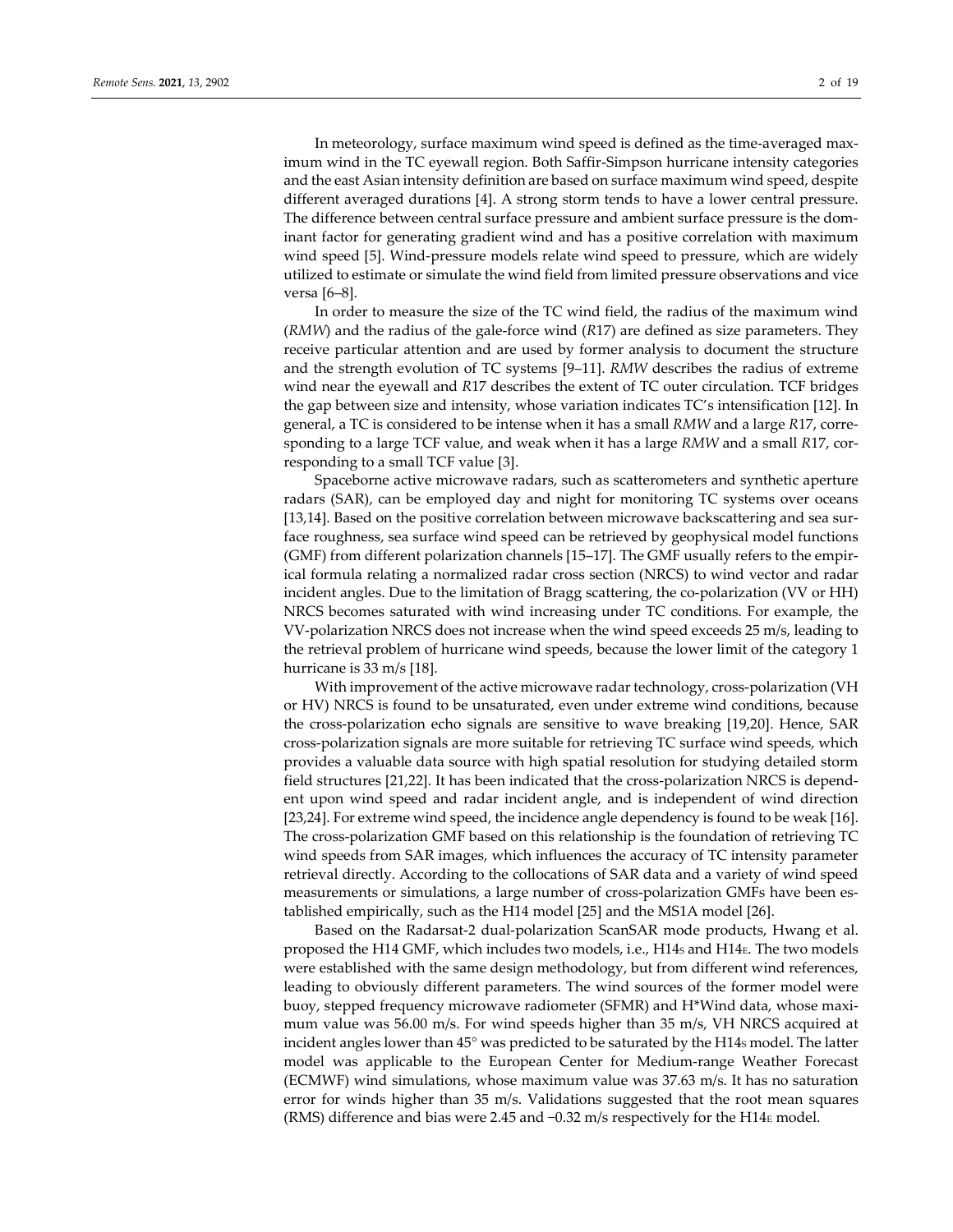In meteorology, surface maximum wind speed is defined as the time-averaged maximum wind in the TC eyewall region. Both Saffir-Simpson hurricane intensity categories and the east Asian intensity definition are based on surface maximum wind speed, despite different averaged durations [4]. A strong storm tends to have a lower central pressure. The difference between central surface pressure and ambient surface pressure is the dominant factor for generating gradient wind and has a positive correlation with maximum wind speed [5]. Wind-pressure models relate wind speed to pressure, which are widely utilized to estimate or simulate the wind field from limited pressure observations and vice versa [6–8].

In order to measure the size of the TC wind field, the radius of the maximum wind (*RMW*) and the radius of the gale-force wind (*R*17) are defined as size parameters. They receive particular attention and are used by former analysis to document the structure and the strength evolution of TC systems [9–11]. *RMW* describes the radius of extreme wind near the eyewall and *R*17 describes the extent of TC outer circulation. TCF bridges the gap between size and intensity, whose variation indicates TC's intensification [12]. In general, a TC is considered to be intense when it has a small *RMW* and a large *R*17, corresponding to a large TCF value, and weak when it has a large *RMW* and a small *R*17, corresponding to a small TCF value [3].

Spaceborne active microwave radars, such as scatterometers and synthetic aperture radars (SAR), can be employed day and night for monitoring TC systems over oceans [13,14]. Based on the positive correlation between microwave backscattering and sea surface roughness, sea surface wind speed can be retrieved by geophysical model functions (GMF) from different polarization channels [15–17]. The GMF usually refers to the empirical formula relating a normalized radar cross section (NRCS) to wind vector and radar incident angles. Due to the limitation of Bragg scattering, the co-polarization (VV or HH) NRCS becomes saturated with wind increasing under TC conditions. For example, the VV-polarization NRCS does not increase when the wind speed exceeds 25 m/s, leading to the retrieval problem of hurricane wind speeds, because the lower limit of the category 1 hurricane is 33 m/s [18].

With improvement of the active microwave radar technology, cross-polarization (VH or HV) NRCS is found to be unsaturated, even under extreme wind conditions, because the cross-polarization echo signals are sensitive to wave breaking [19,20]. Hence, SAR cross-polarization signals are more suitable for retrieving TC surface wind speeds, which provides a valuable data source with high spatial resolution for studying detailed storm field structures [21,22]. It has been indicated that the cross-polarization NRCS is dependent upon wind speed and radar incident angle, and is independent of wind direction [23,24]. For extreme wind speed, the incidence angle dependency is found to be weak [16]. The cross-polarization GMF based on this relationship is the foundation of retrieving TC wind speeds from SAR images, which influences the accuracy of TC intensity parameter retrieval directly. According to the collocations of SAR data and a variety of wind speed measurements or simulations, a large number of cross-polarization GMFs have been established empirically, such as the H14 model [25] and the MS1A model [26].

Based on the Radarsat-2 dual-polarization ScanSAR mode products, Hwang et al. proposed the H14 GMF, which includes two models, i.e., H14s and H14E. The two models were established with the same design methodology, but from different wind references, leading to obviously different parameters. The wind sources of the former model were buoy, stepped frequency microwave radiometer (SFMR) and H\*Wind data, whose maximum value was 56.00 m/s. For wind speeds higher than 35 m/s, VH NRCS acquired at incident angles lower than 45° was predicted to be saturated by the H14s model. The latter model was applicable to the European Center for Medium-range Weather Forecast (ECMWF) wind simulations, whose maximum value was 37.63 m/s. It has no saturation error for winds higher than 35 m/s. Validations suggested that the root mean squares (RMS) difference and bias were 2.45 and −0.32 m/s respectively for the H14E model.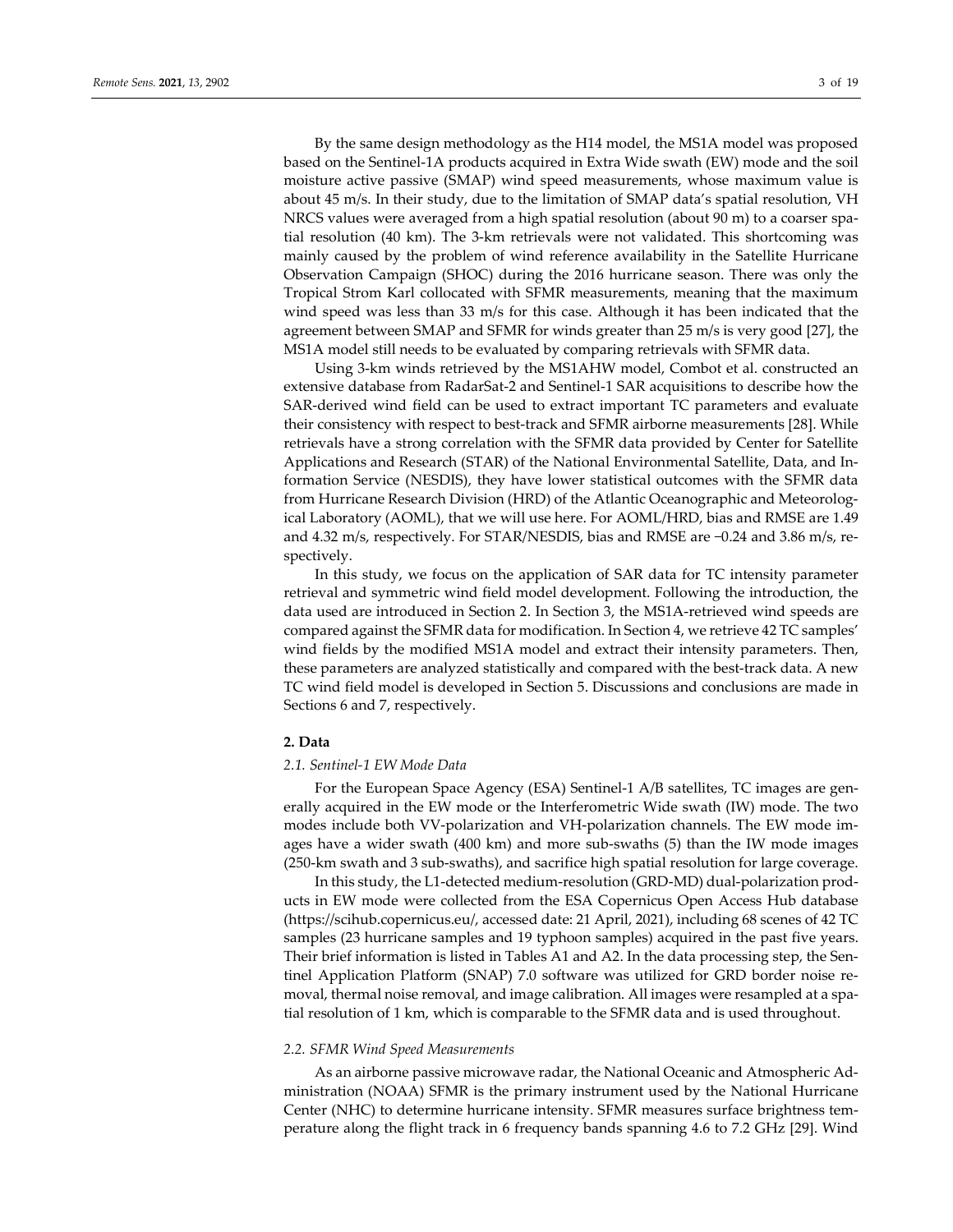By the same design methodology as the H14 model, the MS1A model was proposed

based on the Sentinel-1A products acquired in Extra Wide swath (EW) mode and the soil moisture active passive (SMAP) wind speed measurements, whose maximum value is about 45 m/s. In their study, due to the limitation of SMAP data's spatial resolution, VH NRCS values were averaged from a high spatial resolution (about 90 m) to a coarser spatial resolution (40 km). The 3-km retrievals were not validated. This shortcoming was mainly caused by the problem of wind reference availability in the Satellite Hurricane Observation Campaign (SHOC) during the 2016 hurricane season. There was only the Tropical Strom Karl collocated with SFMR measurements, meaning that the maximum wind speed was less than 33 m/s for this case. Although it has been indicated that the agreement between SMAP and SFMR for winds greater than 25 m/s is very good [27], the MS1A model still needs to be evaluated by comparing retrievals with SFMR data.

Using 3-km winds retrieved by the MS1AHW model, Combot et al. constructed an extensive database from RadarSat-2 and Sentinel-1 SAR acquisitions to describe how the SAR-derived wind field can be used to extract important TC parameters and evaluate their consistency with respect to best-track and SFMR airborne measurements [28]. While retrievals have a strong correlation with the SFMR data provided by Center for Satellite Applications and Research (STAR) of the National Environmental Satellite, Data, and Information Service (NESDIS), they have lower statistical outcomes with the SFMR data from Hurricane Research Division (HRD) of the Atlantic Oceanographic and Meteorological Laboratory (AOML), that we will use here. For AOML/HRD, bias and RMSE are 1.49 and 4.32 m/s, respectively. For STAR/NESDIS, bias and RMSE are −0.24 and 3.86 m/s, respectively.

In this study, we focus on the application of SAR data for TC intensity parameter retrieval and symmetric wind field model development. Following the introduction, the data used are introduced in Section 2. In Section 3, the MS1A-retrieved wind speeds are compared against the SFMR data for modification. In Section 4, we retrieve 42 TC samples' wind fields by the modified MS1A model and extract their intensity parameters. Then, these parameters are analyzed statistically and compared with the best-track data. A new TC wind field model is developed in Section 5. Discussions and conclusions are made in Sections 6 and 7, respectively.

## **2. Data**

#### *2.1. Sentinel-1 EW Mode Data*

For the European Space Agency (ESA) Sentinel-1 A/B satellites, TC images are generally acquired in the EW mode or the Interferometric Wide swath (IW) mode. The two modes include both VV-polarization and VH-polarization channels. The EW mode images have a wider swath (400 km) and more sub-swaths (5) than the IW mode images (250-km swath and 3 sub-swaths), and sacrifice high spatial resolution for large coverage.

In this study, the L1-detected medium-resolution (GRD-MD) dual-polarization products in EW mode were collected from the ESA Copernicus Open Access Hub database (https://scihub.copernicus.eu/, accessed date: 21 April, 2021), including 68 scenes of 42 TC samples (23 hurricane samples and 19 typhoon samples) acquired in the past five years. Their brief information is listed in Tables A1 and A2. In the data processing step, the Sentinel Application Platform (SNAP) 7.0 software was utilized for GRD border noise removal, thermal noise removal, and image calibration. All images were resampled at a spatial resolution of 1 km, which is comparable to the SFMR data and is used throughout.

## *2.2. SFMR Wind Speed Measurements*

As an airborne passive microwave radar, the National Oceanic and Atmospheric Administration (NOAA) SFMR is the primary instrument used by the National Hurricane Center (NHC) to determine hurricane intensity. SFMR measures surface brightness temperature along the flight track in 6 frequency bands spanning 4.6 to 7.2 GHz [29]. Wind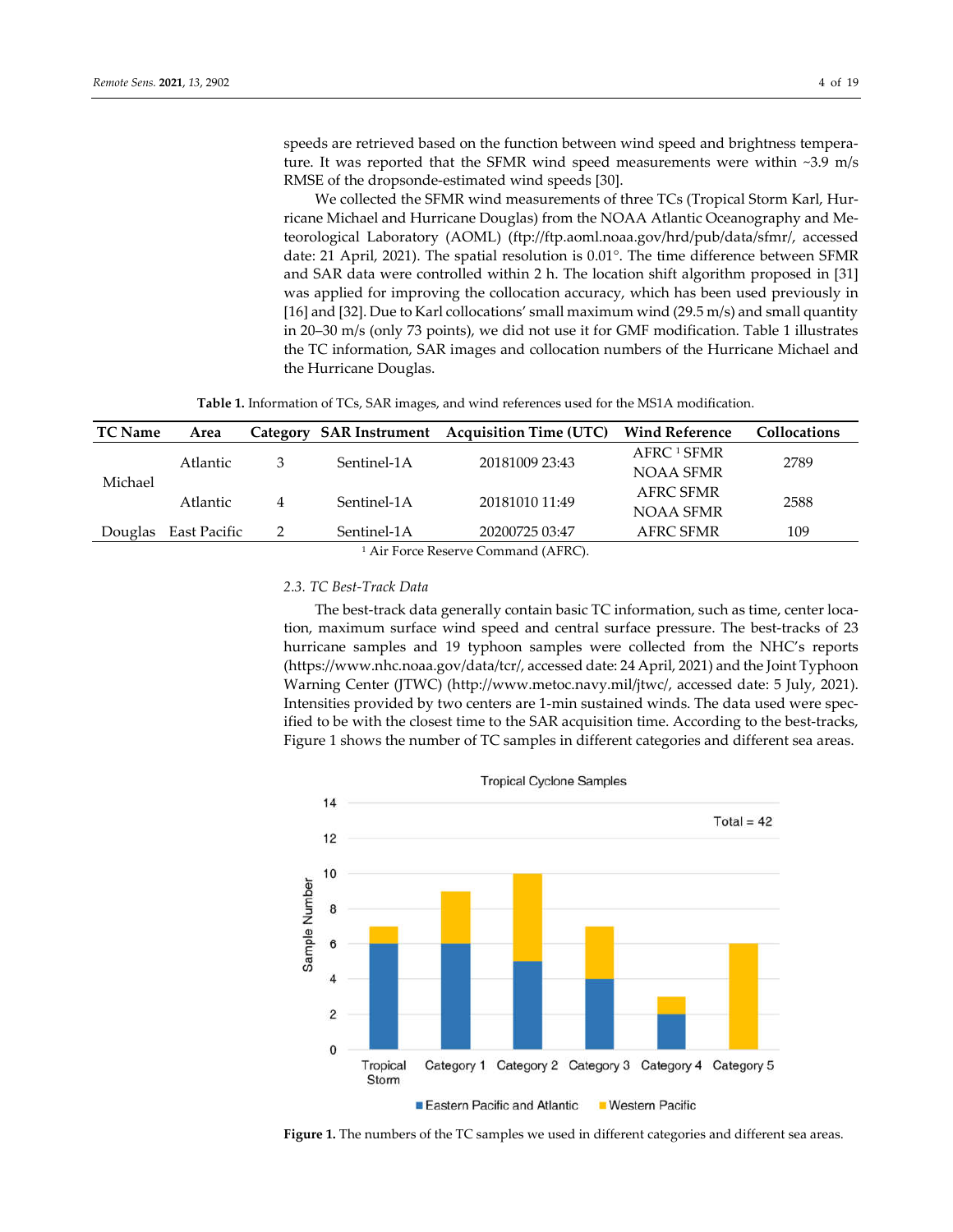speeds are retrieved based on the function between wind speed and brightness temperature. It was reported that the SFMR wind speed measurements were within ~3.9 m/s RMSE of the dropsonde-estimated wind speeds [30].

We collected the SFMR wind measurements of three TCs (Tropical Storm Karl, Hurricane Michael and Hurricane Douglas) from the NOAA Atlantic Oceanography and Meteorological Laboratory (AOML) (ftp://ftp.aoml.noaa.gov/hrd/pub/data/sfmr/, accessed date: 21 April, 2021). The spatial resolution is 0.01°. The time difference between SFMR and SAR data were controlled within 2 h. The location shift algorithm proposed in [31] was applied for improving the collocation accuracy, which has been used previously in [16] and [32]. Due to Karl collocations' small maximum wind (29.5 m/s) and small quantity in 20–30 m/s (only 73 points), we did not use it for GMF modification. Table 1 illustrates the TC information, SAR images and collocation numbers of the Hurricane Michael and the Hurricane Douglas.

**Table 1.** Information of TCs, SAR images, and wind references used for the MS1A modification.

| <b>TC</b> Name              | Area                 |   |             | Category SAR Instrument Acquisition Time (UTC) | <b>Wind Reference</b>  | <b>Collocations</b> |
|-----------------------------|----------------------|---|-------------|------------------------------------------------|------------------------|---------------------|
| Michael                     | Atlantic             | 3 | Sentinel-1A | 20181009 23:43                                 | AFRC <sup>1</sup> SFMR | 2789                |
|                             |                      |   |             |                                                | NOAA SFMR              |                     |
|                             | Atlantic<br>4        |   | Sentinel-1A | 20181010 11:49                                 | AFRC SFMR              | 2588                |
|                             |                      |   |             |                                                | NOAA SFMR              |                     |
|                             | Douglas East Pacific |   | Sentinel-1A | 20200725 03:47                                 | AFRC SFMR              | 109                 |
| $1 \text{ Air Force Power}$ |                      |   |             |                                                |                        |                     |

Air Force Reserve Command (AFRC).

## *2.3. TC Best-Track Data*

The best-track data generally contain basic TC information, such as time, center location, maximum surface wind speed and central surface pressure. The best-tracks of 23 hurricane samples and 19 typhoon samples were collected from the NHC's reports (https://www.nhc.noaa.gov/data/tcr/, accessed date: 24 April, 2021) and the Joint Typhoon Warning Center (JTWC) (http://www.metoc.navy.mil/jtwc/, accessed date: 5 July, 2021). Intensities provided by two centers are 1-min sustained winds. The data used were specified to be with the closest time to the SAR acquisition time. According to the best-tracks, Figure 1 shows the number of TC samples in different categories and different sea areas.



**Figure 1.** The numbers of the TC samples we used in different categories and different sea areas.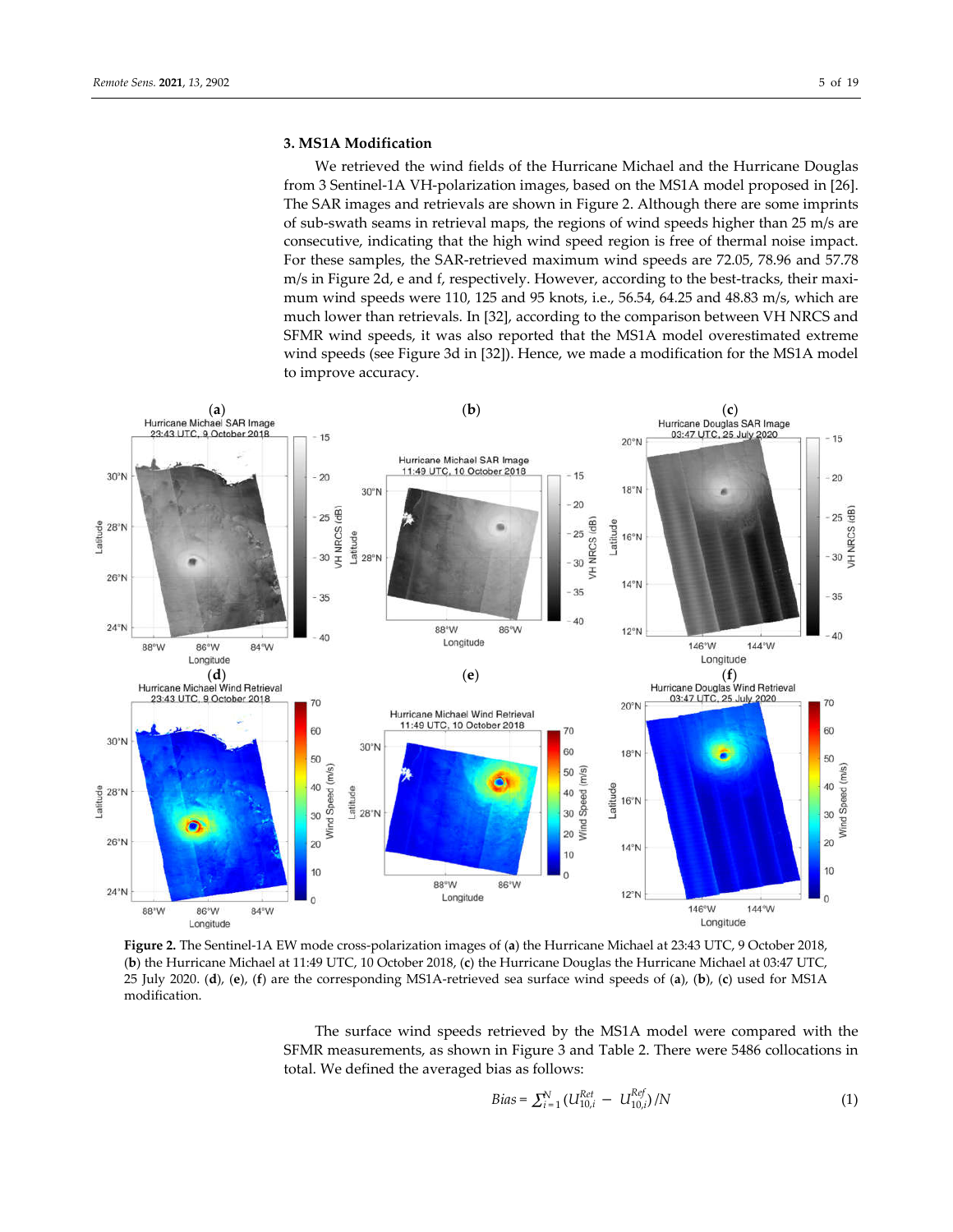## **3. MS1A Modification**

We retrieved the wind fields of the Hurricane Michael and the Hurricane Douglas from 3 Sentinel-1A VH-polarization images, based on the MS1A model proposed in [26]. The SAR images and retrievals are shown in Figure 2. Although there are some imprints of sub-swath seams in retrieval maps, the regions of wind speeds higher than 25 m/s are consecutive, indicating that the high wind speed region is free of thermal noise impact. For these samples, the SAR-retrieved maximum wind speeds are 72.05, 78.96 and 57.78 m/s in Figure 2d, e and f, respectively. However, according to the best-tracks, their maximum wind speeds were 110, 125 and 95 knots, i.e., 56.54, 64.25 and 48.83 m/s, which are much lower than retrievals. In [32], according to the comparison between VH NRCS and SFMR wind speeds, it was also reported that the MS1A model overestimated extreme wind speeds (see Figure 3d in [32]). Hence, we made a modification for the MS1A model to improve accuracy.



**Figure 2.** The Sentinel-1A EW mode cross-polarization images of (**a**) the Hurricane Michael at 23:43 UTC, 9 October 2018, (**b**) the Hurricane Michael at 11:49 UTC, 10 October 2018, (**c**) the Hurricane Douglas the Hurricane Michael at 03:47 UTC, 25 July 2020. (**d**), (**e**), (**f**) are the corresponding MS1A-retrieved sea surface wind speeds of (**a**), (**b**), (**c**) used for MS1A modification.

The surface wind speeds retrieved by the MS1A model were compared with the SFMR measurements, as shown in Figure 3 and Table 2. There were 5486 collocations in total. We defined the averaged bias as follows:

$$
Bias = \sum_{i=1}^{N} (U_{10,i}^{Ret} - U_{10,i}^{Ref})/N
$$
\n(1)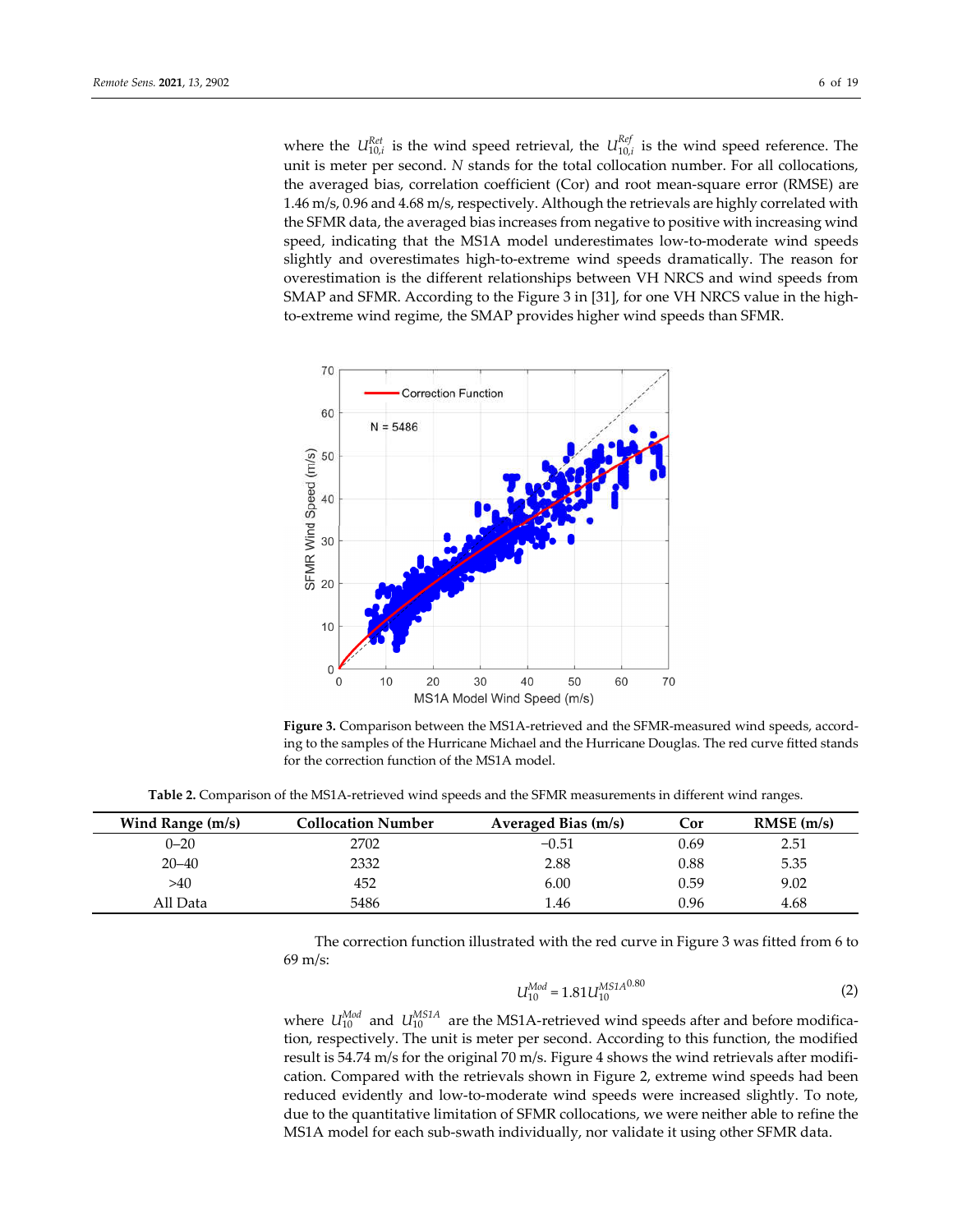where the  $U_{10,i}^{Ret}$  is the wind speed retrieval, the  $U_{10,i}^{Ref}$  is the wind speed reference. The unit is meter per second. *N* stands for the total collocation number. For all collocations, the averaged bias, correlation coefficient (Cor) and root mean-square error (RMSE) are 1.46 m/s, 0.96 and 4.68 m/s, respectively. Although the retrievals are highly correlated with the SFMR data, the averaged bias increases from negative to positive with increasing wind speed, indicating that the MS1A model underestimates low-to-moderate wind speeds slightly and overestimates high-to-extreme wind speeds dramatically. The reason for overestimation is the different relationships between VH NRCS and wind speeds from SMAP and SFMR. According to the Figure 3 in [31], for one VH NRCS value in the highto-extreme wind regime, the SMAP provides higher wind speeds than SFMR.



**Figure 3.** Comparison between the MS1A-retrieved and the SFMR-measured wind speeds, according to the samples of the Hurricane Michael and the Hurricane Douglas. The red curve fitted stands for the correction function of the MS1A model.

**Table 2.** Comparison of the MS1A-retrieved wind speeds and the SFMR measurements in different wind ranges.

| Wind Range (m/s) | Collocation Number | Averaged Bias (m/s) | Cor  | $RMSE$ (m/s) |
|------------------|--------------------|---------------------|------|--------------|
| $0 - 20$         | 2702               | $-0.51$             | 0.69 | 2.51         |
| $20 - 40$        | 2332               | 2.88                | 0.88 | 5.35         |
| >40              | 452                | 6.00                | 0.59 | 9.02         |
| All Data         | 5486               | l.46                | 0.96 | 4.68         |

The correction function illustrated with the red curve in Figure 3 was fitted from 6 to 69 m/s:

$$
U_{10}^{Mod} = 1.81 U_{10}^{MS1A^{0.80}}
$$
 (2)

where  $U_{10}^{Mod}$  and  $U_{10}^{MSIA}$  are the MS1A-retrieved wind speeds after and before modification, respectively. The unit is meter per second. According to this function, the modified result is 54.74 m/s for the original 70 m/s. Figure 4 shows the wind retrievals after modification. Compared with the retrievals shown in Figure 2, extreme wind speeds had been reduced evidently and low-to-moderate wind speeds were increased slightly. To note, due to the quantitative limitation of SFMR collocations, we were neither able to refine the MS1A model for each sub-swath individually, nor validate it using other SFMR data.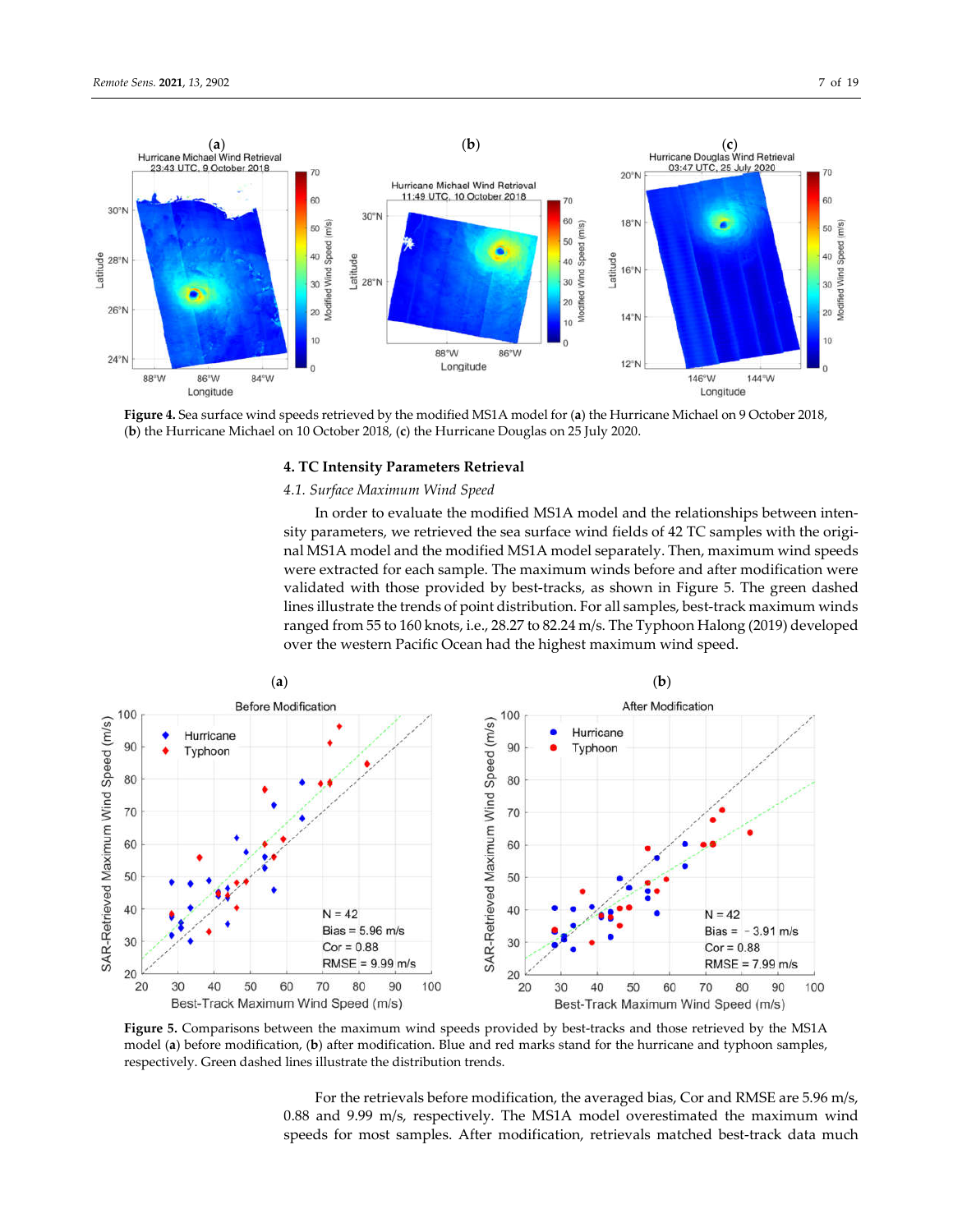$30^\circ$ N

 $28°$ 

 $26°h$ 

 $24^{\circ}$ N

Latitude



86°W

88°W 86°W 84°W 146°W 144°W Longitude Longitude **Figure 4.** Sea surface wind speeds retrieved by the modified MS1A model for (**a**) the Hurricane Michael on 9 October 2018,

Longitude

88°W

## **4. TC Intensity Parameters Retrieval**

## *4.1. Surface Maximum Wind Speed*

(**b**) the Hurricane Michael on 10 October 2018, (**c**) the Hurricane Douglas on 25 July 2020.

10

In order to evaluate the modified MS1A model and the relationships between intensity parameters, we retrieved the sea surface wind fields of 42 TC samples with the original MS1A model and the modified MS1A model separately. Then, maximum wind speeds were extracted for each sample. The maximum winds before and after modification were validated with those provided by best-tracks, as shown in Figure 5. The green dashed lines illustrate the trends of point distribution. For all samples, best-track maximum winds ranged from 55 to 160 knots, i.e., 28.27 to 82.24 m/s. The Typhoon Halong (2019) developed over the western Pacific Ocean had the highest maximum wind speed.

 $12°N$ 



**Figure 5.** Comparisons between the maximum wind speeds provided by best-tracks and those retrieved by the MS1A model (**a**) before modification, (**b**) after modification. Blue and red marks stand for the hurricane and typhoon samples, respectively. Green dashed lines illustrate the distribution trends.

For the retrievals before modification, the averaged bias, Cor and RMSE are 5.96 m/s, 0.88 and 9.99 m/s, respectively. The MS1A model overestimated the maximum wind speeds for most samples. After modification, retrievals matched best-track data much

10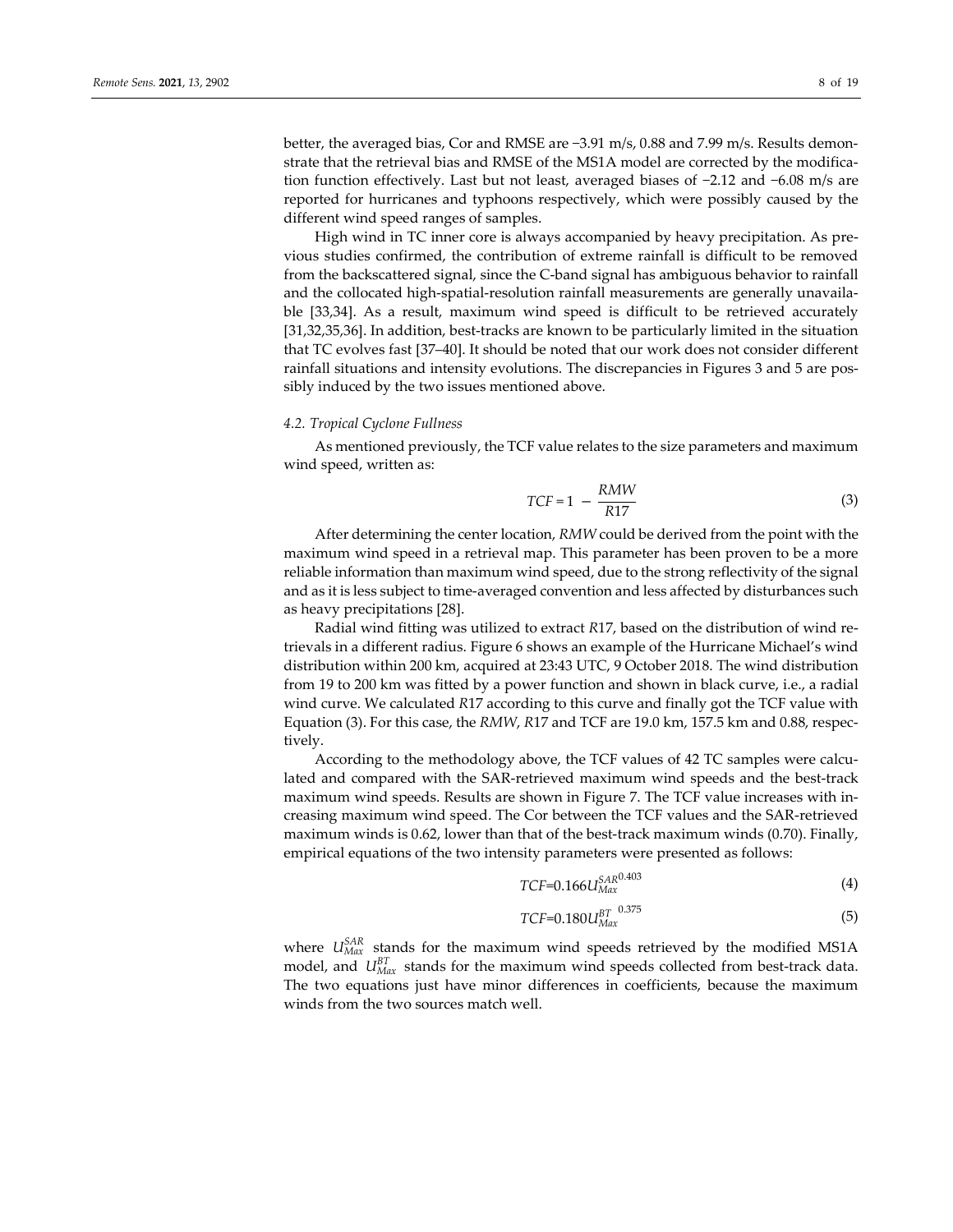better, the averaged bias, Cor and RMSE are −3.91 m/s, 0.88 and 7.99 m/s. Results demonstrate that the retrieval bias and RMSE of the MS1A model are corrected by the modification function effectively. Last but not least, averaged biases of −2.12 and −6.08 m/s are reported for hurricanes and typhoons respectively, which were possibly caused by the different wind speed ranges of samples.

High wind in TC inner core is always accompanied by heavy precipitation. As previous studies confirmed, the contribution of extreme rainfall is difficult to be removed from the backscattered signal, since the C-band signal has ambiguous behavior to rainfall and the collocated high-spatial-resolution rainfall measurements are generally unavailable [33,34]. As a result, maximum wind speed is difficult to be retrieved accurately [31,32,35,36]. In addition, best-tracks are known to be particularly limited in the situation that TC evolves fast [37–40]. It should be noted that our work does not consider different rainfall situations and intensity evolutions. The discrepancies in Figures 3 and 5 are possibly induced by the two issues mentioned above.

## *4.2. Tropical Cyclone Fullness*

As mentioned previously, the TCF value relates to the size parameters and maximum wind speed, written as:

$$
TCF = 1 - \frac{RMW}{R17}
$$
 (3)

After determining the center location, *RMW* could be derived from the point with the maximum wind speed in a retrieval map. This parameter has been proven to be a more reliable information than maximum wind speed, due to the strong reflectivity of the signal and as it is less subject to time-averaged convention and less affected by disturbances such as heavy precipitations [28].

Radial wind fitting was utilized to extract *R*17, based on the distribution of wind retrievals in a different radius. Figure 6 shows an example of the Hurricane Michael's wind distribution within 200 km, acquired at 23:43 UTC, 9 October 2018. The wind distribution from 19 to 200 km was fitted by a power function and shown in black curve, i.e., a radial wind curve. We calculated *R*17 according to this curve and finally got the TCF value with Equation (3). For this case, the *RMW*, *R*17 and TCF are 19.0 km, 157.5 km and 0.88, respectively.

According to the methodology above, the TCF values of 42 TC samples were calculated and compared with the SAR-retrieved maximum wind speeds and the best-track maximum wind speeds. Results are shown in Figure 7. The TCF value increases with increasing maximum wind speed. The Cor between the TCF values and the SAR-retrieved maximum winds is 0.62, lower than that of the best-track maximum winds (0.70). Finally, empirical equations of the two intensity parameters were presented as follows:

$$
TCF=0.166U_{Max}^{SAR^{0.403}}\tag{4}
$$

$$
TCF=0.180U_{Max}^{BT}^{0.375}
$$
\n(5)

where  $U_{\text{Max}}^{SAR}$  stands for the maximum wind speeds retrieved by the modified MS1A model, and  $U_{\text{Max}}^{BT}$  stands for the maximum wind speeds collected from best-track data. The two equations just have minor differences in coefficients, because the maximum winds from the two sources match well.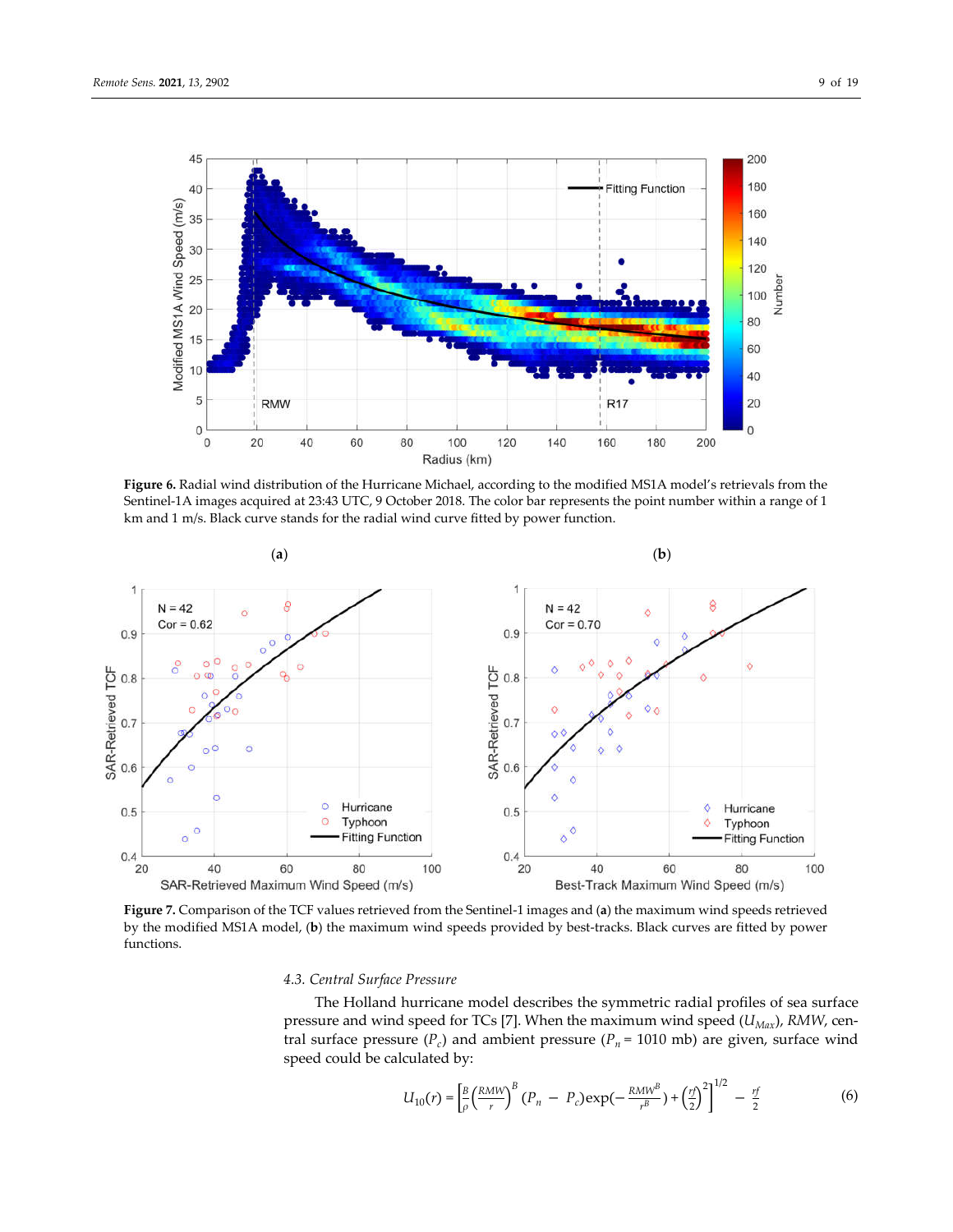

**Figure 6.** Radial wind distribution of the Hurricane Michael, according to the modified MS1A model's retrievals from the Sentinel-1A images acquired at 23:43 UTC, 9 October 2018. The color bar represents the point number within a range of 1 km and 1 m/s. Black curve stands for the radial wind curve fitted by power function.



**Figure 7.** Comparison of the TCF values retrieved from the Sentinel-1 images and (**a**) the maximum wind speeds retrieved by the modified MS1A model, (**b**) the maximum wind speeds provided by best-tracks. Black curves are fitted by power functions.

## *4.3. Central Surface Pressure*

The Holland hurricane model describes the symmetric radial profiles of sea surface pressure and wind speed for TCs [7]. When the maximum wind speed  $(U_{\text{Max}})$ , RMW, central surface pressure  $(P_c)$  and ambient pressure  $(P_n = 1010 \text{ mb})$  are given, surface wind speed could be calculated by:

$$
U_{10}(r) = \left[\frac{B}{\rho} \left(\frac{RMW}{r}\right)^B (P_n - P_c) \exp\left(-\frac{RMW^B}{r^B}\right) + \left(\frac{rf}{2}\right)^2\right]^{1/2} - \frac{rf}{2}
$$
(6)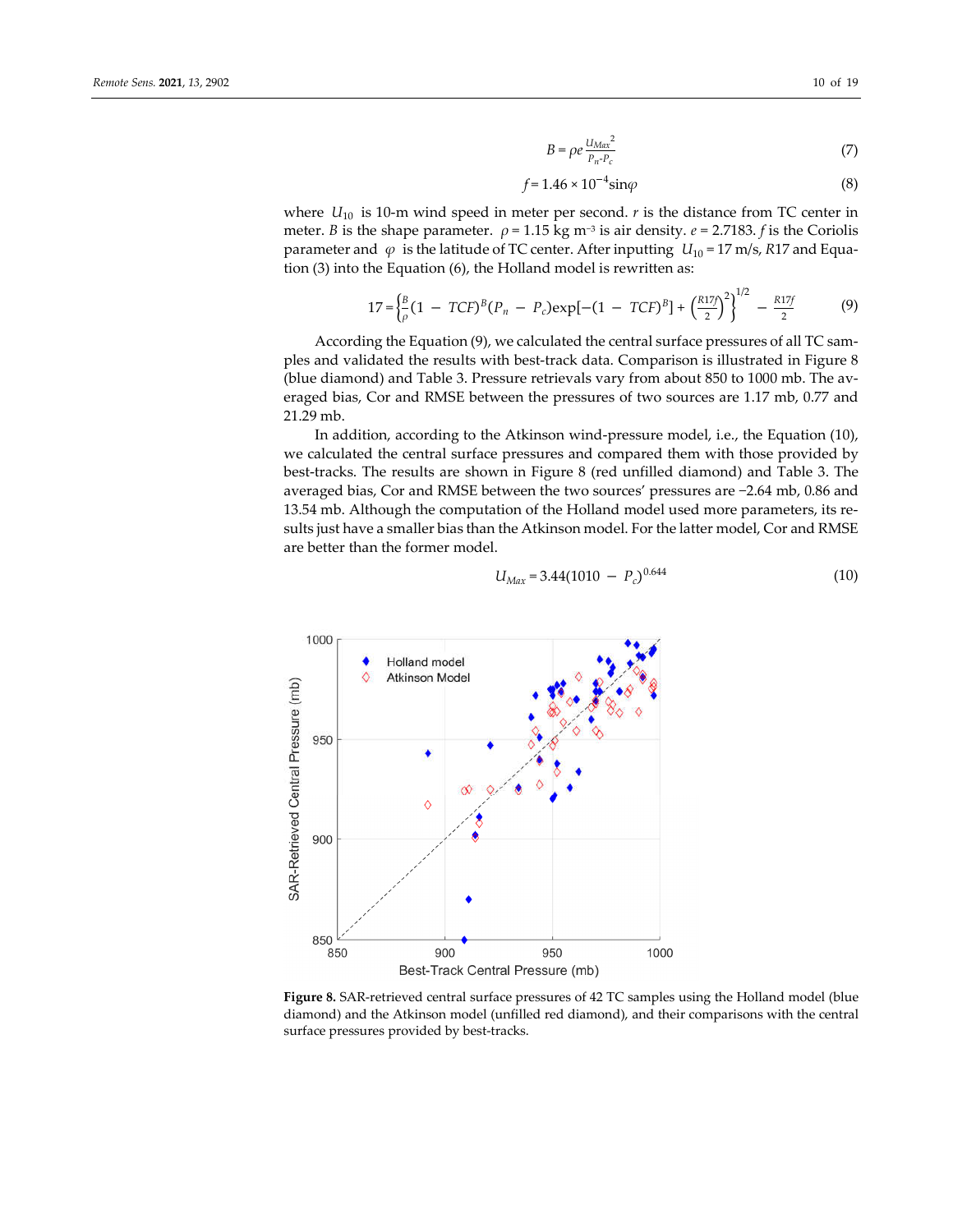$$
B = \rho e \frac{U_{Max}^2}{P_{n} P_c}
$$
 (7)

$$
f = 1.46 \times 10^{-4} \text{sin}\varphi \tag{8}
$$

where  $U_{10}$  is 10-m wind speed in meter per second.  $r$  is the distance from TC center in meter. *B* is the shape parameter.  $\rho = 1.15$  kg m<sup>-3</sup> is air density. *e* = 2.7183. *f* is the Coriolis parameter and  $\varphi$  is the latitude of TC center. After inputting  $U_{10} = 17$  m/s, *R*17 and Equation (3) into the Equation (6), the Holland model is rewritten as:

$$
17 = \left(\frac{B}{\rho}(1 - TCF)^{B}(P_{n} - P_{c})\exp[-(1 - TCF)^{B}] + \left(\frac{R17}{2}\right)^{2}\right)^{1/2} - \frac{R17f}{2}
$$
(9)

According the Equation (9), we calculated the central surface pressures of all TC samples and validated the results with best-track data. Comparison is illustrated in Figure 8 (blue diamond) and Table 3. Pressure retrievals vary from about 850 to 1000 mb. The averaged bias, Cor and RMSE between the pressures of two sources are 1.17 mb, 0.77 and 21.29 mb.

In addition, according to the Atkinson wind-pressure model, i.e., the Equation (10), we calculated the central surface pressures and compared them with those provided by best-tracks. The results are shown in Figure 8 (red unfilled diamond) and Table 3. The averaged bias, Cor and RMSE between the two sources' pressures are −2.64 mb, 0.86 and 13.54 mb. Although the computation of the Holland model used more parameters, its results just have a smaller bias than the Atkinson model. For the latter model, Cor and RMSE are better than the former model.

$$
U_{\text{Max}} = 3.44(1010 - P_c)^{0.644} \tag{10}
$$



**Figure 8.** SAR-retrieved central surface pressures of 42 TC samples using the Holland model (blue diamond) and the Atkinson model (unfilled red diamond), and their comparisons with the central surface pressures provided by best-tracks.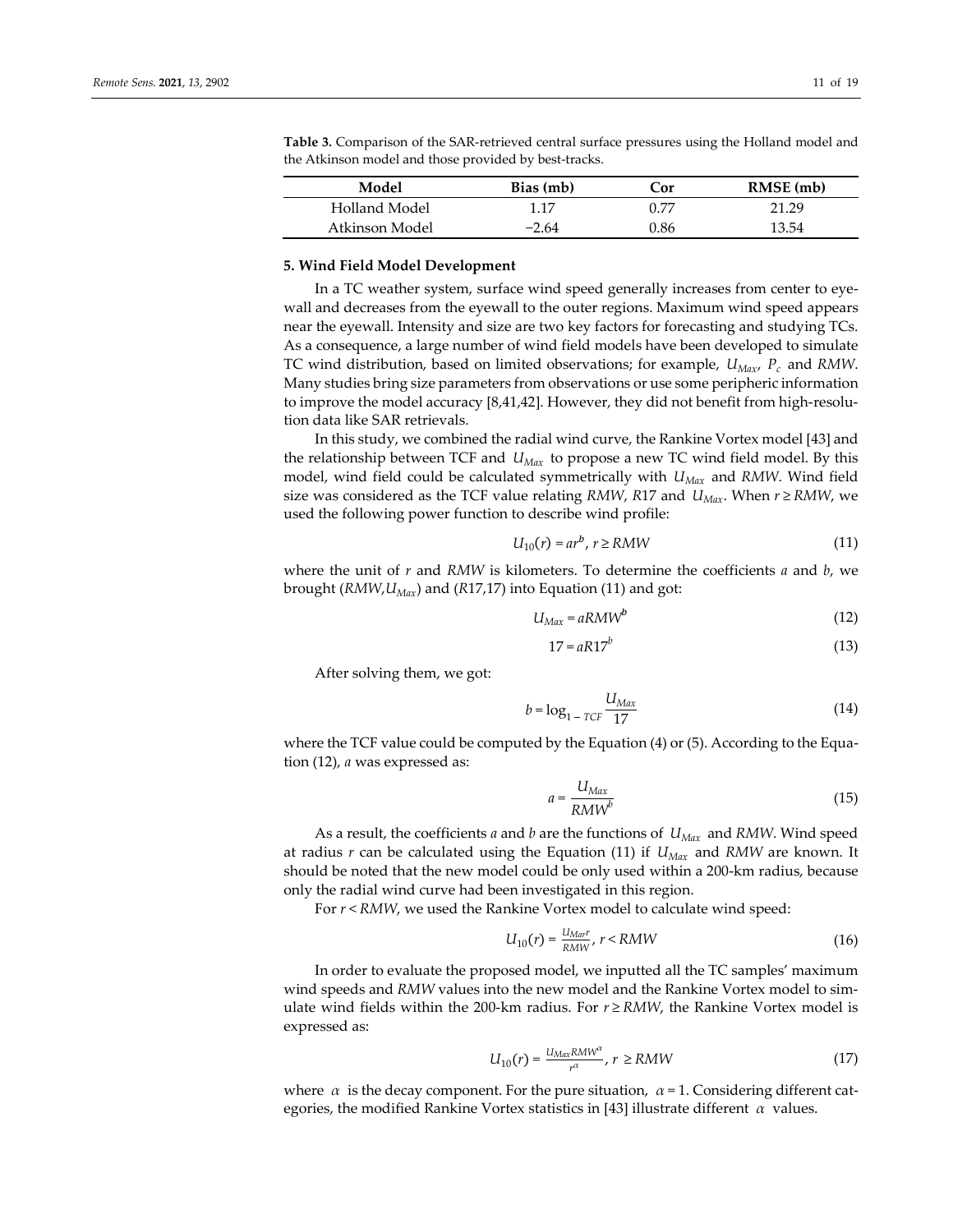| Model          | Bias (mb) | Cor  | RMSE (mb) |
|----------------|-----------|------|-----------|
| Holland Model  | 1.17      | በ 77 | 21.29     |
| Atkinson Model | $-2.64$   | 9.86 | 13.54     |

**Table 3.** Comparison of the SAR-retrieved central surface pressures using the Holland model and the Atkinson model and those provided by best-tracks.

## **5. Wind Field Model Development**

In a TC weather system, surface wind speed generally increases from center to eyewall and decreases from the eyewall to the outer regions. Maximum wind speed appears near the eyewall. Intensity and size are two key factors for forecasting and studying TCs. As a consequence, a large number of wind field models have been developed to simulate TC wind distribution, based on limited observations; for example, *UMax*, *Pc* and *RMW*. Many studies bring size parameters from observations or use some peripheric information to improve the model accuracy [8,41,42]. However, they did not benefit from high-resolution data like SAR retrievals.

In this study, we combined the radial wind curve, the Rankine Vortex model [43] and the relationship between TCF and *UMax* to propose a new TC wind field model. By this model, wind field could be calculated symmetrically with *UMax* and *RMW*. Wind field size was considered as the TCF value relating *RMW*, *R*17 and  $U_{Max}$ . When  $r \geq RMW$ , we used the following power function to describe wind profile:

$$
U_{10}(r) = ar^b, r \ge RMW
$$
\n<sup>(11)</sup>

where the unit of *r* and *RMW* is kilometers. To determine the coefficients *a* and *b*, we brought (*RMW*, *U<sub>Max</sub>*) and (*R*17,17) into Equation (11) and got:

$$
U_{\text{Max}} = a\text{R} \text{M} \text{W}^b \tag{12}
$$

$$
17 = aR17^b \tag{13}
$$

After solving them, we got:

$$
b = \log_{1 - TCF} \frac{U_{Max}}{17}
$$
 (14)

where the TCF value could be computed by the Equation (4) or (5). According to the Equation (12), *a* was expressed as:

$$
a = \frac{U_{Max}}{R M W^{b}}
$$
 (15)

As a result, the coefficients *a* and *b* are the functions of *UMax* and *RMW*. Wind speed at radius *r* can be calculated using the Equation (11) if *UMax* and *RMW* are known. It should be noted that the new model could be only used within a 200-km radius, because only the radial wind curve had been investigated in this region.

For *r* < *RMW*, we used the Rankine Vortex model to calculate wind speed:

$$
U_{10}(r) = \frac{U_{Mar}r}{RMW}, r < RMW
$$
\n(16)

In order to evaluate the proposed model, we inputted all the TC samples' maximum wind speeds and *RMW* values into the new model and the Rankine Vortex model to simulate wind fields within the 200-km radius. For  $r \geq RMW$ , the Rankine Vortex model is expressed as:

$$
U_{10}(r) = \frac{U_{Max}RMW^{\alpha}}{r^{\alpha}}, r \ge RMW
$$
\n(17)

where *α* is the decay component. For the pure situation, *α* = 1. Considering different categories, the modified Rankine Vortex statistics in [43] illustrate different *α* values.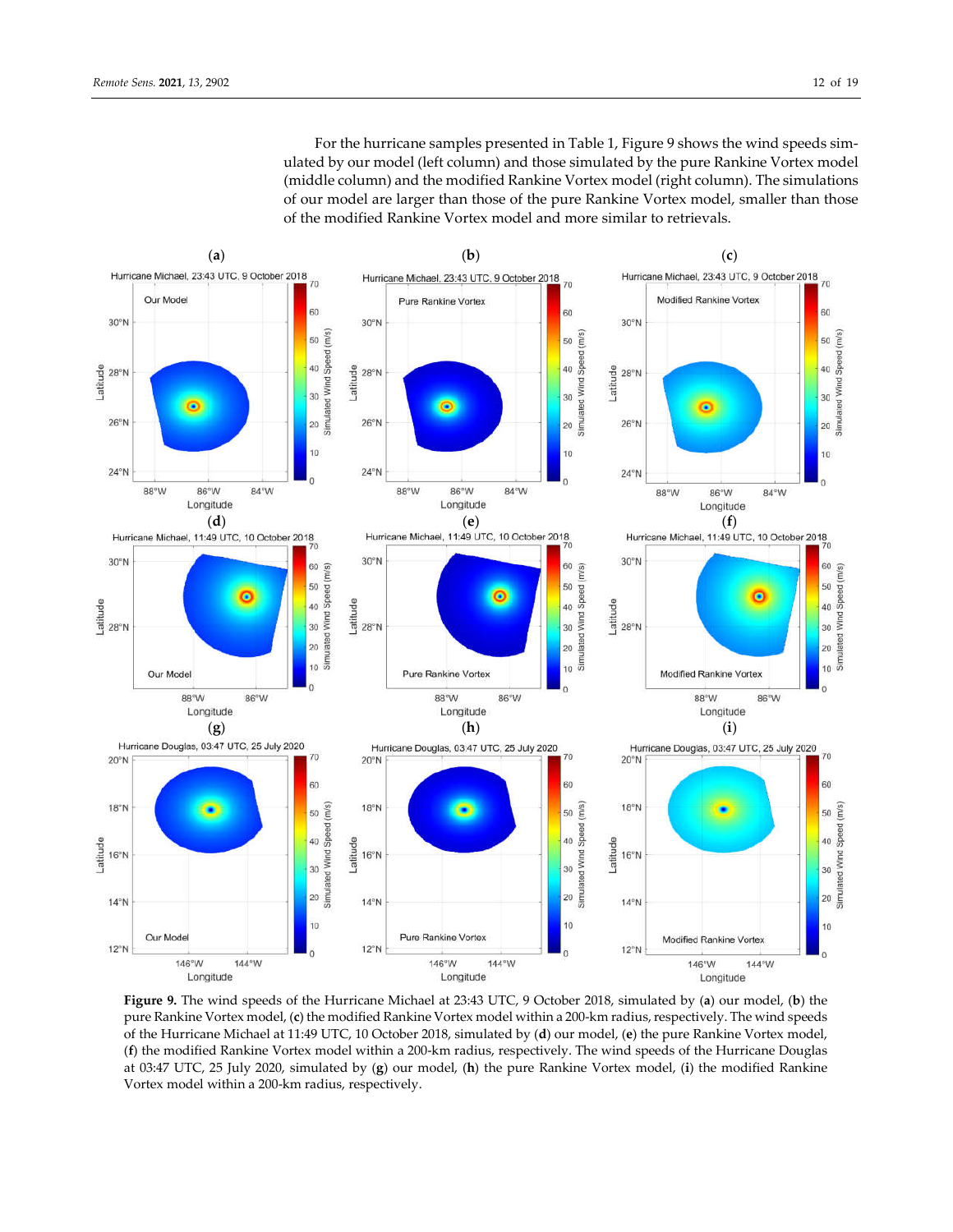For the hurricane samples presented in Table 1, Figure 9 shows the wind speeds simulated by our model (left column) and those simulated by the pure Rankine Vortex model (middle column) and the modified Rankine Vortex model (right column). The simulations of our model are larger than those of the pure Rankine Vortex model, smaller than those of the modified Rankine Vortex model and more similar to retrievals.



**Figure 9.** The wind speeds of the Hurricane Michael at 23:43 UTC, 9 October 2018, simulated by (**a**) our model, (**b**) the pure Rankine Vortex model, (**c**) the modified Rankine Vortex model within a 200-km radius, respectively. The wind speeds of the Hurricane Michael at 11:49 UTC, 10 October 2018, simulated by (**d**) our model, (**e**) the pure Rankine Vortex model, (**f**) the modified Rankine Vortex model within a 200-km radius, respectively. The wind speeds of the Hurricane Douglas at 03:47 UTC, 25 July 2020, simulated by (**g**) our model, (**h**) the pure Rankine Vortex model, (**i**) the modified Rankine Vortex model within a 200-km radius, respectively.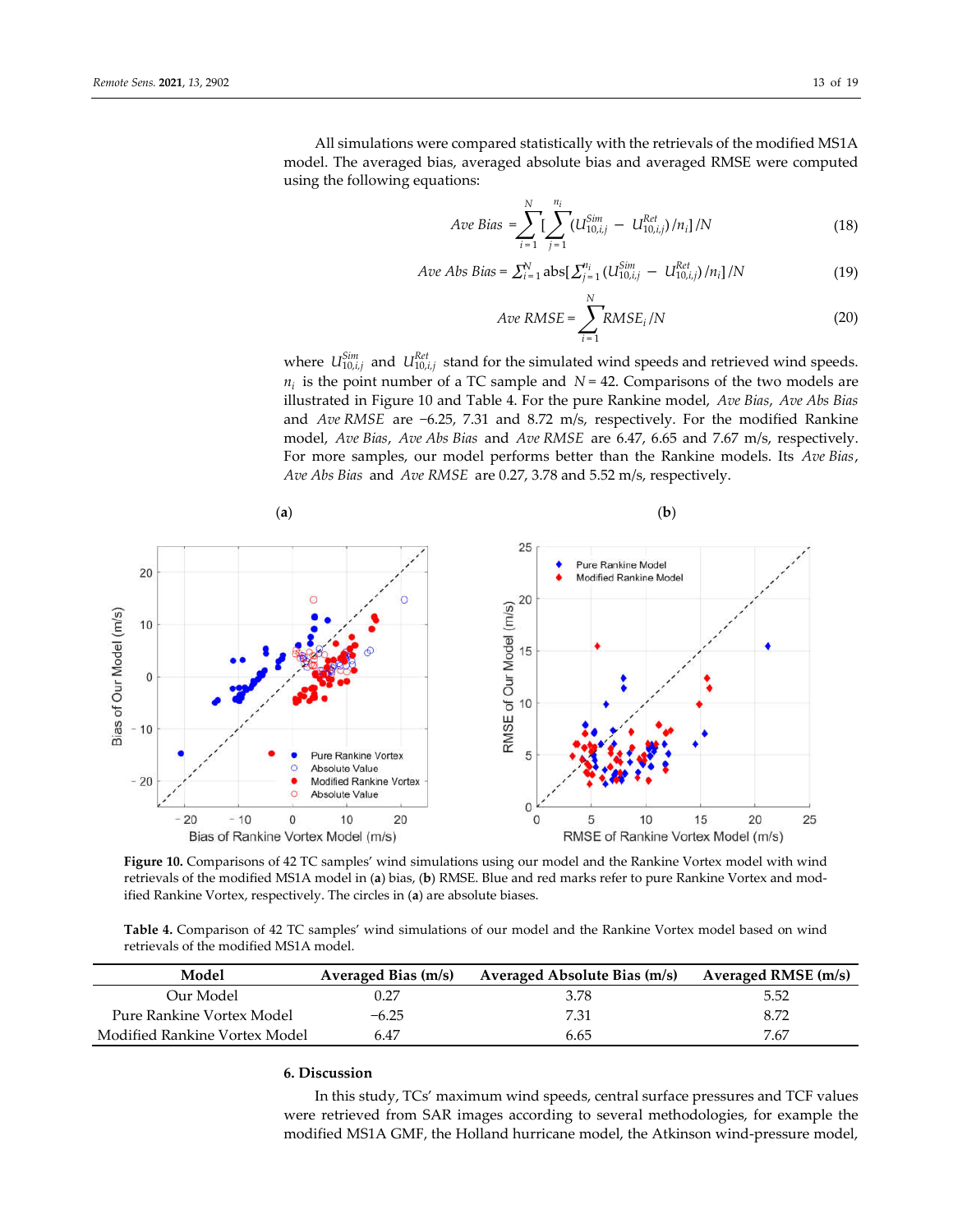All simulations were compared statistically with the retrievals of the modified MS1A model. The averaged bias, averaged absolute bias and averaged RMSE were computed using the following equations:

$$
Ave Bias = \sum_{i=1}^{N} \left[ \sum_{j=1}^{n_i} (U_{10,i,j}^{Sim} - U_{10,i,j}^{Ret})/n_i \right] / N \tag{18}
$$

$$
Ave\;Abs\;Bias = \sum_{i=1}^{N} abs[\; \sum_{j=1}^{n_i} (U_{10,i,j}^{Sim} \; - \; U_{10,i,j}^{Ret})/n_i] / N \tag{19}
$$

$$
Ave RMSE = \sum_{i=1}^{N} RMSE_i / N
$$
 (20)

where  $U_{10,i,j}^{Sim}$  and  $U_{10,i,j}^{Ret}$  stand for the simulated wind speeds and retrieved wind speeds.  $n_i$  is the point number of a TC sample and  $N = 42$ . Comparisons of the two models are illustrated in Figure 10 and Table 4. For the pure Rankine model, *Ave Bias*, *Ave Abs Bias* and *Ave RMSE* are −6.25, 7.31 and 8.72 m/s, respectively. For the modified Rankine model, *Ave Bias*, *Ave Abs Bias* and *Ave RMSE* are 6.47, 6.65 and 7.67 m/s, respectively. For more samples, our model performs better than the Rankine models. Its *Ave Bias*, *Ave Abs Bias* and *Ave RMSE* are 0.27, 3.78 and 5.52 m/s, respectively.



**Figure 10.** Comparisons of 42 TC samples' wind simulations using our model and the Rankine Vortex model with wind retrievals of the modified MS1A model in (**a**) bias, (**b**) RMSE. Blue and red marks refer to pure Rankine Vortex and modified Rankine Vortex, respectively. The circles in (**a**) are absolute biases.

**Table 4.** Comparison of 42 TC samples' wind simulations of our model and the Rankine Vortex model based on wind retrievals of the modified MS1A model.

| Model                         | Averaged Bias (m/s) | Averaged Absolute Bias (m/s) | Averaged RMSE (m/s) |
|-------------------------------|---------------------|------------------------------|---------------------|
| Our Model                     | 0.27                | 3.78                         | 5.52                |
| Pure Rankine Vortex Model     | $-6.25$             | 7.31                         | 8.72                |
| Modified Rankine Vortex Model | 6.47                | 6.65                         | 7.67                |

## **6. Discussion**

In this study, TCs' maximum wind speeds, central surface pressures and TCF values were retrieved from SAR images according to several methodologies, for example the modified MS1A GMF, the Holland hurricane model, the Atkinson wind-pressure model,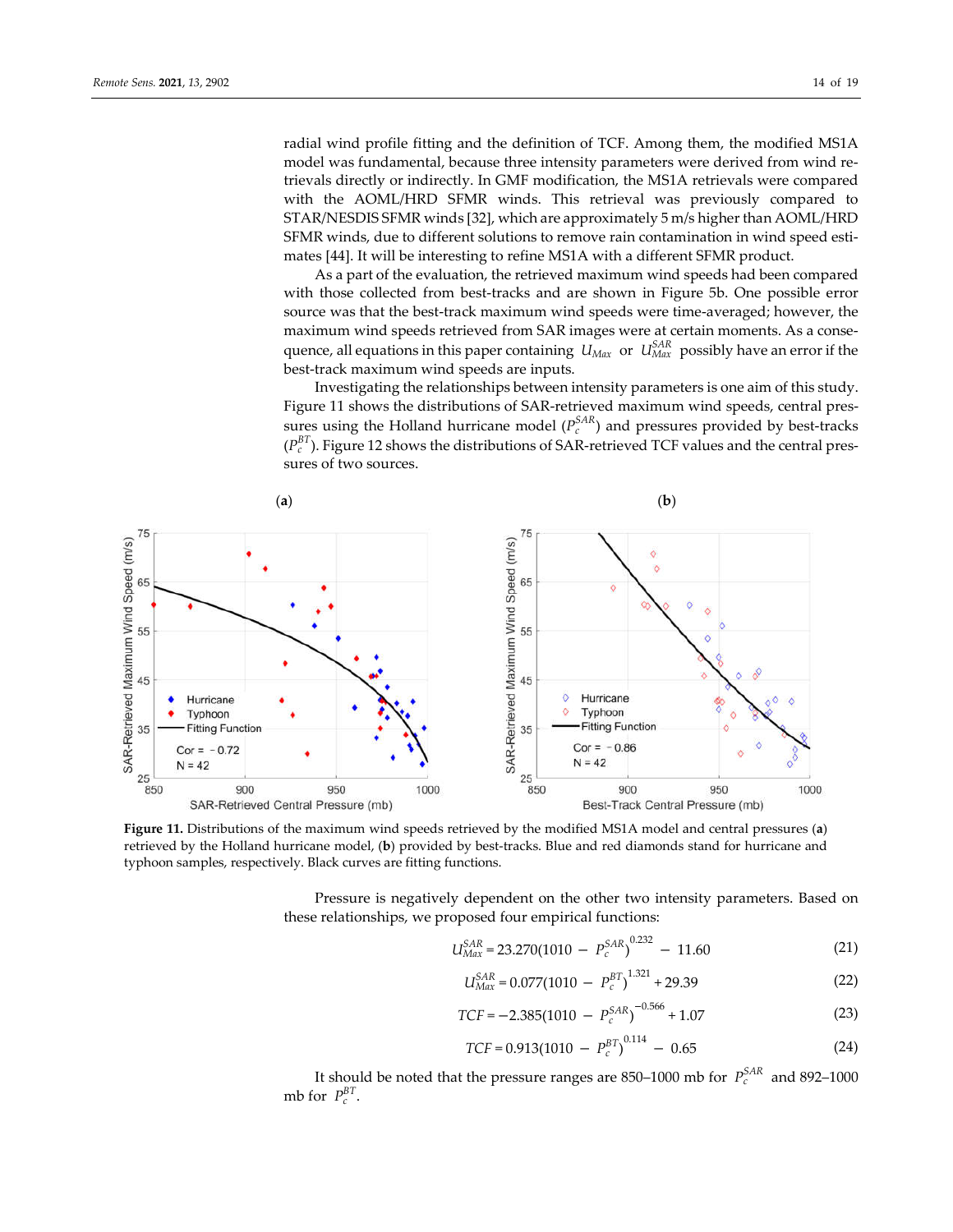radial wind profile fitting and the definition of TCF. Among them, the modified MS1A model was fundamental, because three intensity parameters were derived from wind retrievals directly or indirectly. In GMF modification, the MS1A retrievals were compared with the AOML/HRD SFMR winds. This retrieval was previously compared to STAR/NESDIS SFMR winds [32], which are approximately 5 m/s higher than AOML/HRD SFMR winds, due to different solutions to remove rain contamination in wind speed estimates [44]. It will be interesting to refine MS1A with a different SFMR product.

As a part of the evaluation, the retrieved maximum wind speeds had been compared with those collected from best-tracks and are shown in Figure 5b. One possible error source was that the best-track maximum wind speeds were time-averaged; however, the maximum wind speeds retrieved from SAR images were at certain moments. As a consequence, all equations in this paper containing  $|U_{Max}|$  or  $|U_{Max}|$  possibly have an error if the best-track maximum wind speeds are inputs.

Investigating the relationships between intensity parameters is one aim of this study. Figure 11 shows the distributions of SAR-retrieved maximum wind speeds, central pressures using the Holland hurricane model  $(P_c^{SAR})$  and pressures provided by best-tracks  $(P_c^{BT})$ . Figure 12 shows the distributions of SAR-retrieved TCF values and the central pressures of two sources.



**Figure 11.** Distributions of the maximum wind speeds retrieved by the modified MS1A model and central pressures (**a**) retrieved by the Holland hurricane model, (**b**) provided by best-tracks. Blue and red diamonds stand for hurricane and typhoon samples, respectively. Black curves are fitting functions.

Pressure is negatively dependent on the other two intensity parameters. Based on these relationships, we proposed four empirical functions:

$$
U_{Max}^{SAR} = 23.270(1010 - P_c^{SAR})^{0.232} - 11.60
$$
 (21)

$$
U_{Max}^{SAR} = 0.077(1010 - P_c^{BT})^{1.321} + 29.39\tag{22}
$$

$$
TCF = -2.385(1010 - P_c^{SAR})^{-0.566} + 1.07
$$
\n(23)

$$
TCF = 0.913(1010 - P_c^{BT})^{0.114} - 0.65
$$
 (24)

It should be noted that the pressure ranges are 850–1000 mb for  $P_c^{SAR}$  and 892–1000 mb for  $P_c^{BT}$ .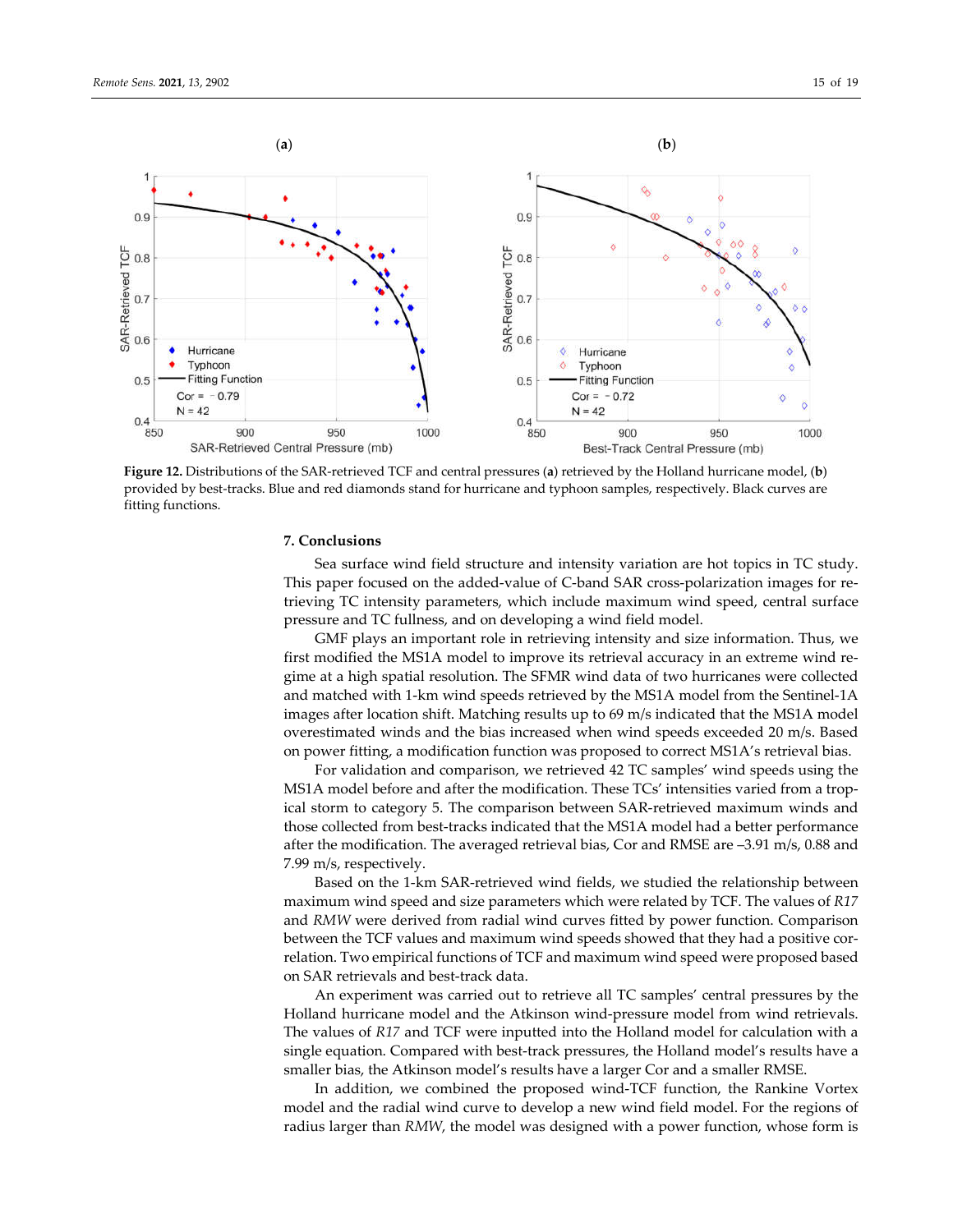

**Figure 12.** Distributions of the SAR-retrieved TCF and central pressures (**a**) retrieved by the Holland hurricane model, (**b**) provided by best-tracks. Blue and red diamonds stand for hurricane and typhoon samples, respectively. Black curves are fitting functions.

## **7. Conclusions**

Sea surface wind field structure and intensity variation are hot topics in TC study. This paper focused on the added-value of C-band SAR cross-polarization images for retrieving TC intensity parameters, which include maximum wind speed, central surface pressure and TC fullness, and on developing a wind field model.

GMF plays an important role in retrieving intensity and size information. Thus, we first modified the MS1A model to improve its retrieval accuracy in an extreme wind regime at a high spatial resolution. The SFMR wind data of two hurricanes were collected and matched with 1-km wind speeds retrieved by the MS1A model from the Sentinel-1A images after location shift. Matching results up to 69 m/s indicated that the MS1A model overestimated winds and the bias increased when wind speeds exceeded 20 m/s. Based on power fitting, a modification function was proposed to correct MS1A's retrieval bias.

For validation and comparison, we retrieved 42 TC samples' wind speeds using the MS1A model before and after the modification. These TCs' intensities varied from a tropical storm to category 5. The comparison between SAR-retrieved maximum winds and those collected from best-tracks indicated that the MS1A model had a better performance after the modification. The averaged retrieval bias, Cor and RMSE are –3.91 m/s, 0.88 and 7.99 m/s, respectively.

Based on the 1-km SAR-retrieved wind fields, we studied the relationship between maximum wind speed and size parameters which were related by TCF. The values of *R17* and *RMW* were derived from radial wind curves fitted by power function. Comparison between the TCF values and maximum wind speeds showed that they had a positive correlation. Two empirical functions of TCF and maximum wind speed were proposed based on SAR retrievals and best-track data.

An experiment was carried out to retrieve all TC samples' central pressures by the Holland hurricane model and the Atkinson wind-pressure model from wind retrievals. The values of *R17* and TCF were inputted into the Holland model for calculation with a single equation. Compared with best-track pressures, the Holland model's results have a smaller bias, the Atkinson model's results have a larger Cor and a smaller RMSE.

In addition, we combined the proposed wind-TCF function, the Rankine Vortex model and the radial wind curve to develop a new wind field model. For the regions of radius larger than *RMW*, the model was designed with a power function, whose form is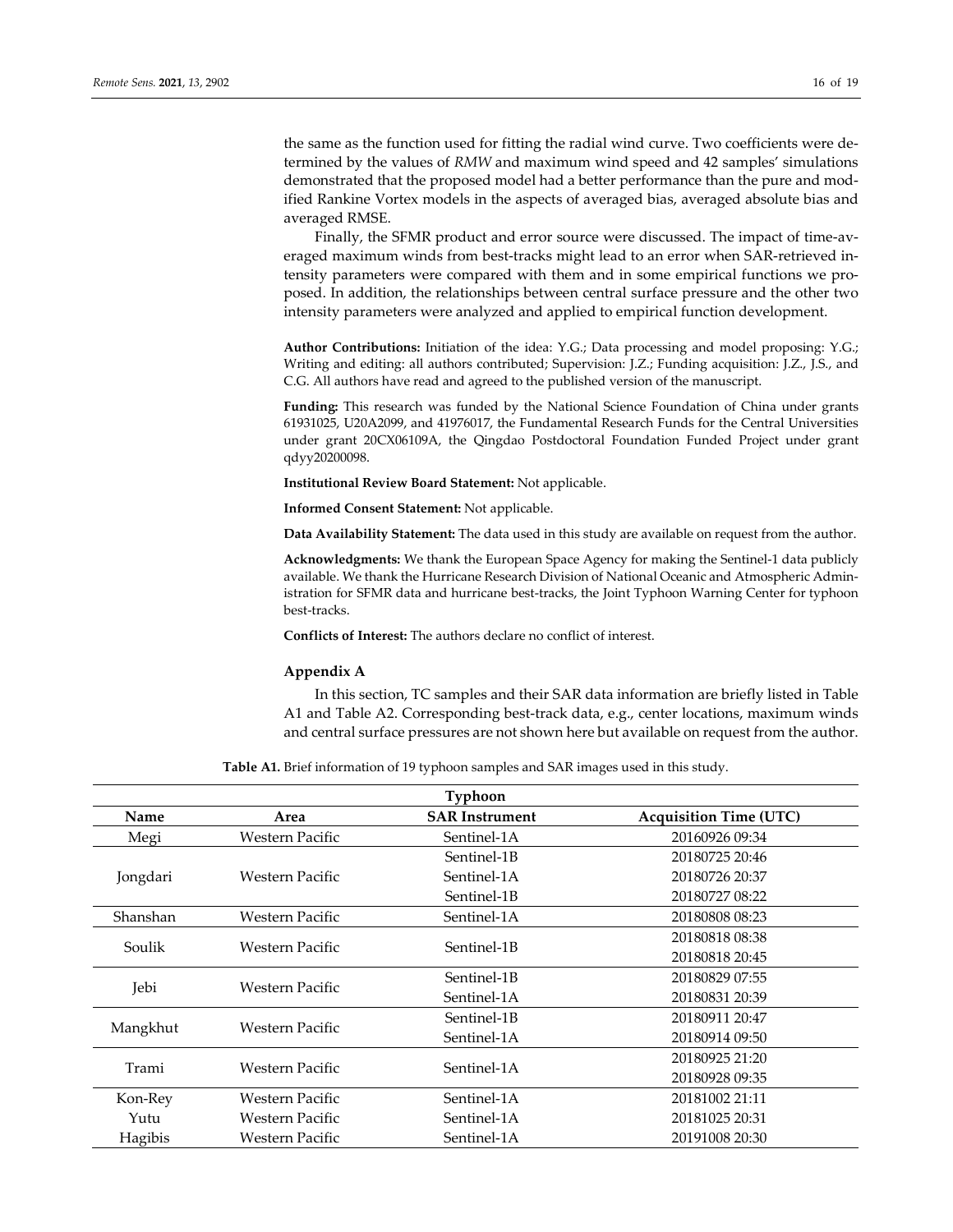the same as the function used for fitting the radial wind curve. Two coefficients were determined by the values of *RMW* and maximum wind speed and 42 samples' simulations demonstrated that the proposed model had a better performance than the pure and modified Rankine Vortex models in the aspects of averaged bias, averaged absolute bias and averaged RMSE.

Finally, the SFMR product and error source were discussed. The impact of time-averaged maximum winds from best-tracks might lead to an error when SAR-retrieved intensity parameters were compared with them and in some empirical functions we proposed. In addition, the relationships between central surface pressure and the other two intensity parameters were analyzed and applied to empirical function development.

**Author Contributions:** Initiation of the idea: Y.G.; Data processing and model proposing: Y.G.; Writing and editing: all authors contributed; Supervision: J.Z.; Funding acquisition: J.Z., J.S., and C.G. All authors have read and agreed to the published version of the manuscript.

**Funding:** This research was funded by the National Science Foundation of China under grants 61931025, U20A2099, and 41976017, the Fundamental Research Funds for the Central Universities under grant 20CX06109A, the Qingdao Postdoctoral Foundation Funded Project under grant qdyy20200098.

**Institutional Review Board Statement:** Not applicable.

**Informed Consent Statement:** Not applicable.

**Data Availability Statement:** The data used in this study are available on request from the author.

**Acknowledgments:** We thank the European Space Agency for making the Sentinel-1 data publicly available. We thank the Hurricane Research Division of National Oceanic and Atmospheric Administration for SFMR data and hurricane best-tracks, the Joint Typhoon Warning Center for typhoon best-tracks.

**Conflicts of Interest:** The authors declare no conflict of interest.

## **Appendix A**

In this section, TC samples and their SAR data information are briefly listed in Table A1 and Table A2. Corresponding best-track data, e.g., center locations, maximum winds and central surface pressures are not shown here but available on request from the author.

**Table A1.** Brief information of 19 typhoon samples and SAR images used in this study.

| <b>Typhoon</b> |                 |                       |                               |  |  |
|----------------|-----------------|-----------------------|-------------------------------|--|--|
| Name           | Area            | <b>SAR Instrument</b> | <b>Acquisition Time (UTC)</b> |  |  |
| Megi           | Western Pacific | Sentinel-1A           | 20160926 09:34                |  |  |
|                |                 | Sentinel-1B           | 20180725 20:46                |  |  |
| Jongdari       | Western Pacific | Sentinel-1A           | 20180726 20:37                |  |  |
|                |                 | Sentinel-1B           | 20180727 08:22                |  |  |
| Shanshan       | Western Pacific | Sentinel-1A           | 20180808 08:23                |  |  |
| Soulik         | Western Pacific | Sentinel-1B           | 20180818 08:38                |  |  |
|                |                 |                       | 20180818 20:45                |  |  |
| Jebi           | Western Pacific | Sentinel-1B           | 20180829 07:55                |  |  |
|                |                 | Sentinel-1A           | 20180831 20:39                |  |  |
| Mangkhut       | Western Pacific | Sentinel-1B           | 20180911 20:47                |  |  |
|                |                 | Sentinel-1A           | 20180914 09:50                |  |  |
| Trami          | Western Pacific | Sentinel-1A           | 20180925 21:20                |  |  |
|                |                 |                       | 20180928 09:35                |  |  |
| Kon-Rey        | Western Pacific | Sentinel-1A           | 20181002 21:11                |  |  |
| Yutu           | Western Pacific | Sentinel-1A           | 20181025 20:31                |  |  |
| Hagibis        | Western Pacific | Sentinel-1A           | 20191008 20:30                |  |  |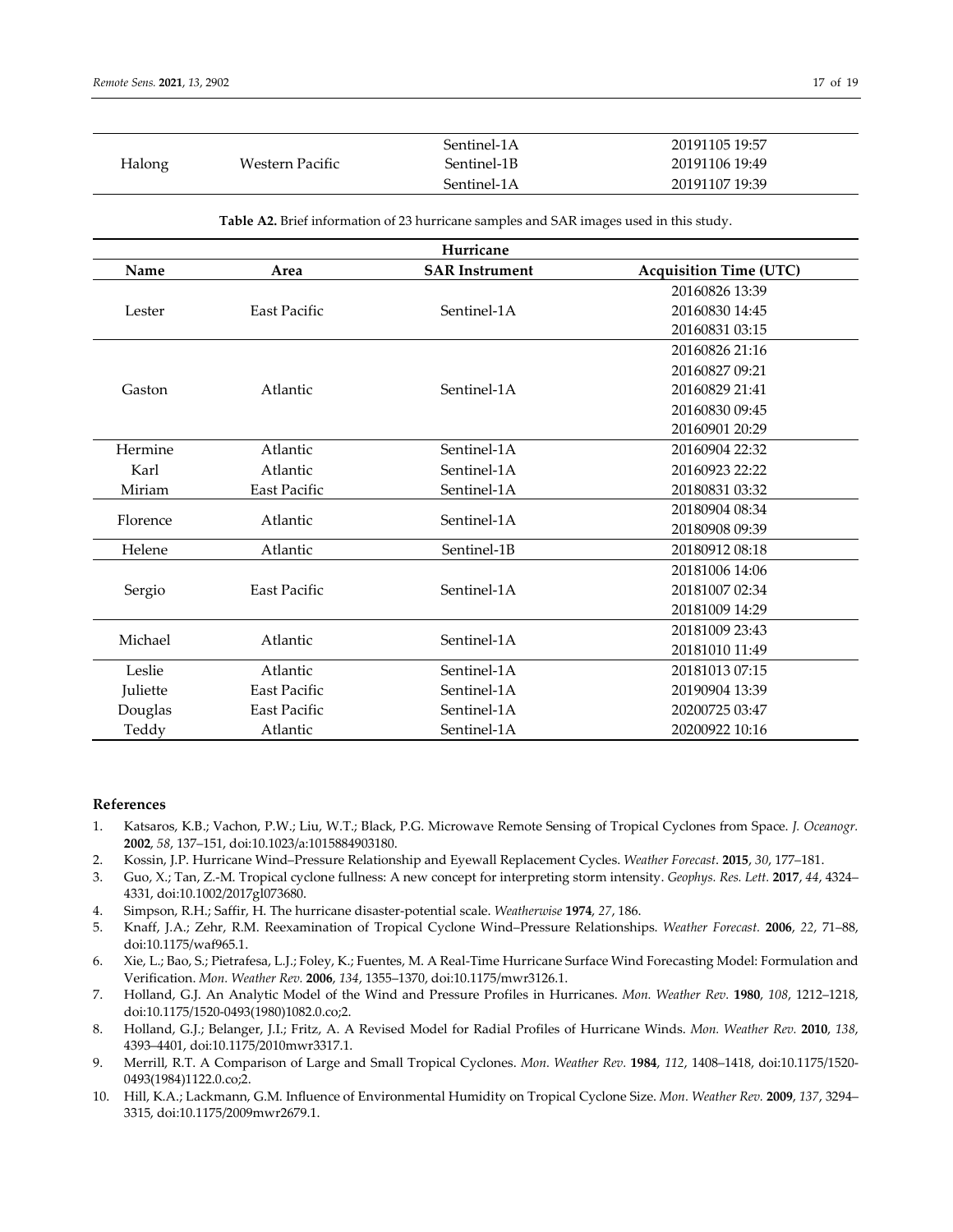| Halong                                                                                              |                     | Sentinel-1A           | 20191105 19:57                |  |  |
|-----------------------------------------------------------------------------------------------------|---------------------|-----------------------|-------------------------------|--|--|
|                                                                                                     | Western Pacific     | Sentinel-1B           | 20191106 19:49                |  |  |
|                                                                                                     |                     | Sentinel-1A           | 20191107 19:39                |  |  |
| Table A2. Brief information of 23 hurricane samples and SAR images used in this study.<br>Hurricane |                     |                       |                               |  |  |
| Name                                                                                                | Area                | <b>SAR Instrument</b> | <b>Acquisition Time (UTC)</b> |  |  |
|                                                                                                     | East Pacific        | Sentinel-1A           | 20160826 13:39                |  |  |
| Lester                                                                                              |                     |                       | 20160830 14:45                |  |  |
|                                                                                                     |                     |                       | 20160831 03:15                |  |  |
|                                                                                                     |                     |                       | 20160826 21:16                |  |  |
|                                                                                                     |                     |                       | 20160827 09:21                |  |  |
| Gaston                                                                                              | Atlantic            | Sentinel-1A           | 20160829 21:41                |  |  |
|                                                                                                     |                     |                       | 20160830 09:45                |  |  |
|                                                                                                     |                     |                       | 20160901 20:29                |  |  |
| Hermine                                                                                             | Atlantic            | Sentinel-1A           | 20160904 22:32                |  |  |
| Karl                                                                                                | Atlantic            | Sentinel-1A           | 20160923 22:22                |  |  |
| Miriam                                                                                              | East Pacific        | Sentinel-1A           | 20180831 03:32                |  |  |
| Florence                                                                                            | Atlantic            | Sentinel-1A           | 20180904 08:34                |  |  |
|                                                                                                     |                     |                       | 20180908 09:39                |  |  |
| Helene                                                                                              | Atlantic            | Sentinel-1B           | 20180912 08:18                |  |  |
|                                                                                                     | <b>East Pacific</b> | Sentinel-1A           | 20181006 14:06                |  |  |
| Sergio                                                                                              |                     |                       | 20181007 02:34                |  |  |
|                                                                                                     |                     |                       | 20181009 14:29                |  |  |
| Michael                                                                                             | Atlantic            | Sentinel-1A           | 20181009 23:43                |  |  |
|                                                                                                     |                     |                       | 20181010 11:49                |  |  |
| Leslie                                                                                              | Atlantic            | Sentinel-1A           | 20181013 07:15                |  |  |
| Juliette                                                                                            | <b>East Pacific</b> | Sentinel-1A           | 20190904 13:39                |  |  |
| Douglas                                                                                             | East Pacific        | Sentinel-1A           | 20200725 03:47                |  |  |
| Teddy                                                                                               | Atlantic            | Sentinel-1A           | 20200922 10:16                |  |  |

## **References**

- 1. Katsaros, K.B.; Vachon, P.W.; Liu, W.T.; Black, P.G. Microwave Remote Sensing of Tropical Cyclones from Space. *J. Oceanogr.* **2002**, *58*, 137–151, doi:10.1023/a:1015884903180.
- 2. Kossin, J.P. Hurricane Wind–Pressure Relationship and Eyewall Replacement Cycles. *Weather Forecast*. **2015**, *30*, 177–181.
- 3. Guo, X.; Tan, Z.-M. Tropical cyclone fullness: A new concept for interpreting storm intensity. *Geophys. Res. Lett.* **2017**, *44*, 4324– 4331, doi:10.1002/2017gl073680.
- 4. Simpson, R.H.; Saffir, H. The hurricane disaster-potential scale. *Weatherwise* **1974**, *27*, 186.
- 5. Knaff, J.A.; Zehr, R.M. Reexamination of Tropical Cyclone Wind–Pressure Relationships. *Weather Forecast.* **2006**, *22*, 71–88, doi:10.1175/waf965.1.
- 6. Xie, L.; Bao, S.; Pietrafesa, L.J.; Foley, K.; Fuentes, M. A Real-Time Hurricane Surface Wind Forecasting Model: Formulation and Verification. *Mon. Weather Rev.* **2006**, *134*, 1355–1370, doi:10.1175/mwr3126.1.
- 7. Holland, G.J. An Analytic Model of the Wind and Pressure Profiles in Hurricanes. *Mon. Weather Rev.* **1980**, *108*, 1212–1218, doi:10.1175/1520-0493(1980)1082.0.co;2.
- 8. Holland, G.J.; Belanger, J.I.; Fritz, A. A Revised Model for Radial Profiles of Hurricane Winds. *Mon. Weather Rev.* **2010**, *138*, 4393–4401, doi:10.1175/2010mwr3317.1.
- 9. Merrill, R.T. A Comparison of Large and Small Tropical Cyclones. *Mon. Weather Rev.* **1984**, *112*, 1408–1418, doi:10.1175/1520- 0493(1984)1122.0.co;2.
- 10. Hill, K.A.; Lackmann, G.M. Influence of Environmental Humidity on Tropical Cyclone Size. *Mon. Weather Rev.* **2009**, *137*, 3294– 3315, doi:10.1175/2009mwr2679.1.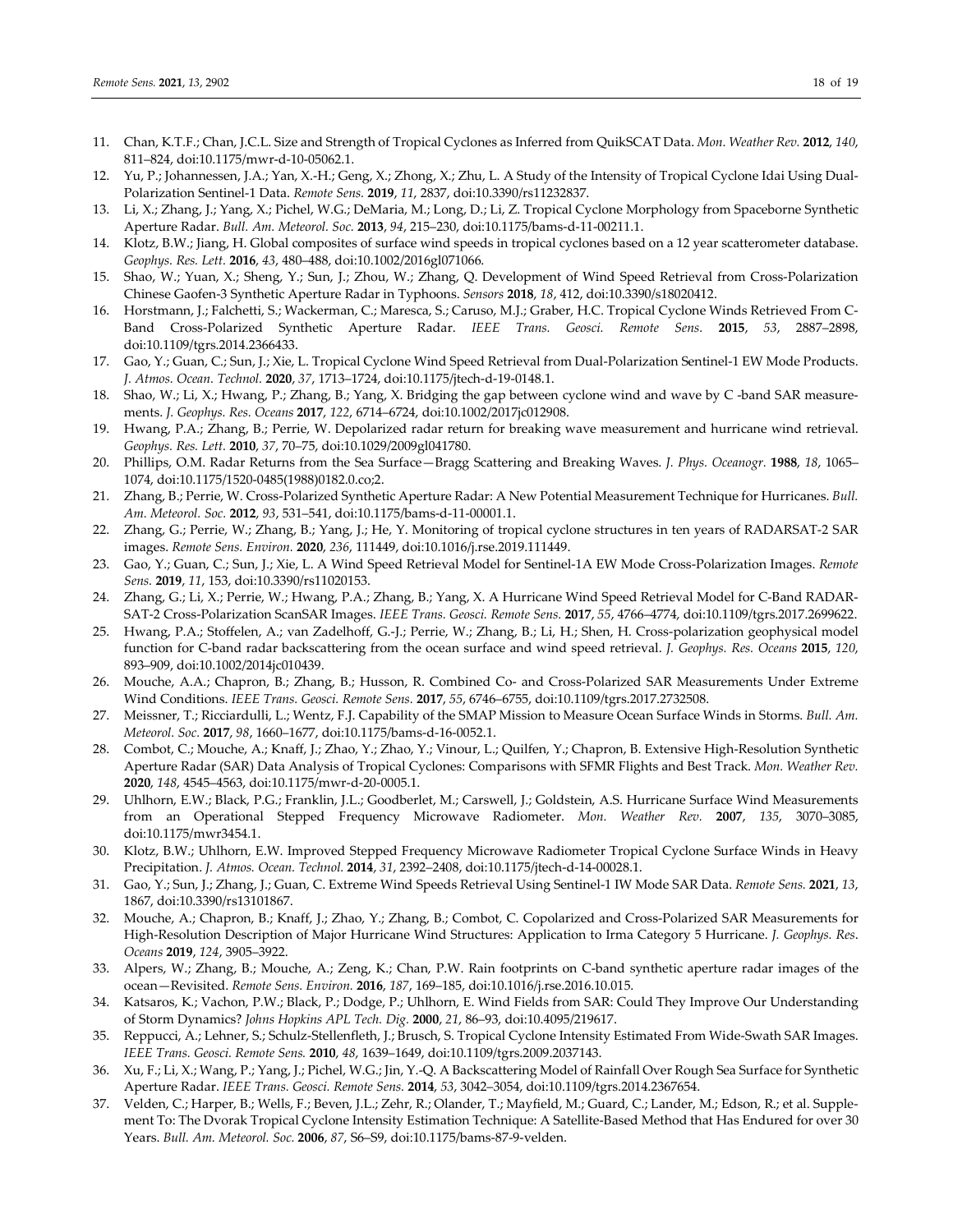- 11. Chan, K.T.F.; Chan, J.C.L. Size and Strength of Tropical Cyclones as Inferred from QuikSCAT Data. *Mon. Weather Rev.* **2012**, *140*, 811–824, doi:10.1175/mwr-d-10-05062.1.
- 12. Yu, P.; Johannessen, J.A.; Yan, X.-H.; Geng, X.; Zhong, X.; Zhu, L. A Study of the Intensity of Tropical Cyclone Idai Using Dual-Polarization Sentinel-1 Data. *Remote Sens.* **2019**, *11*, 2837, doi:10.3390/rs11232837.
- 13. Li, X.; Zhang, J.; Yang, X.; Pichel, W.G.; DeMaria, M.; Long, D.; Li, Z. Tropical Cyclone Morphology from Spaceborne Synthetic Aperture Radar. *Bull. Am. Meteorol. Soc.* **2013**, *94*, 215–230, doi:10.1175/bams-d-11-00211.1.
- 14. Klotz, B.W.; Jiang, H. Global composites of surface wind speeds in tropical cyclones based on a 12 year scatterometer database. *Geophys. Res. Lett.* **2016**, *43*, 480–488, doi:10.1002/2016gl071066.
- 15. Shao, W.; Yuan, X.; Sheng, Y.; Sun, J.; Zhou, W.; Zhang, Q. Development of Wind Speed Retrieval from Cross-Polarization Chinese Gaofen-3 Synthetic Aperture Radar in Typhoons. *Sensors* **2018**, *18*, 412, doi:10.3390/s18020412.
- 16. Horstmann, J.; Falchetti, S.; Wackerman, C.; Maresca, S.; Caruso, M.J.; Graber, H.C. Tropical Cyclone Winds Retrieved From C-Band Cross-Polarized Synthetic Aperture Radar. *IEEE Trans. Geosci. Remote Sens.* **2015**, *53*, 2887–2898, doi:10.1109/tgrs.2014.2366433.
- 17. Gao, Y.; Guan, C.; Sun, J.; Xie, L. Tropical Cyclone Wind Speed Retrieval from Dual-Polarization Sentinel-1 EW Mode Products. *J. Atmos. Ocean. Technol.* **2020**, *37*, 1713–1724, doi:10.1175/jtech-d-19-0148.1.
- 18. Shao, W.; Li, X.; Hwang, P.; Zhang, B.; Yang, X. Bridging the gap between cyclone wind and wave by C -band SAR measurements. *J. Geophys. Res. Oceans* **2017**, *122*, 6714–6724, doi:10.1002/2017jc012908.
- 19. Hwang, P.A.; Zhang, B.; Perrie, W. Depolarized radar return for breaking wave measurement and hurricane wind retrieval. *Geophys. Res. Lett.* **2010**, *37*, 70–75, doi:10.1029/2009gl041780.
- 20. Phillips, O.M. Radar Returns from the Sea Surface—Bragg Scattering and Breaking Waves. *J. Phys. Oceanogr.* **1988**, *18*, 1065– 1074, doi:10.1175/1520-0485(1988)0182.0.co;2.
- 21. Zhang, B.; Perrie, W. Cross-Polarized Synthetic Aperture Radar: A New Potential Measurement Technique for Hurricanes. *Bull. Am. Meteorol. Soc.* **2012**, *93*, 531–541, doi:10.1175/bams-d-11-00001.1.
- 22. Zhang, G.; Perrie, W.; Zhang, B.; Yang, J.; He, Y. Monitoring of tropical cyclone structures in ten years of RADARSAT-2 SAR images. *Remote Sens. Environ.* **2020**, *236*, 111449, doi:10.1016/j.rse.2019.111449.
- 23. Gao, Y.; Guan, C.; Sun, J.; Xie, L. A Wind Speed Retrieval Model for Sentinel-1A EW Mode Cross-Polarization Images. *Remote Sens.* **2019**, *11*, 153, doi:10.3390/rs11020153.
- 24. Zhang, G.; Li, X.; Perrie, W.; Hwang, P.A.; Zhang, B.; Yang, X. A Hurricane Wind Speed Retrieval Model for C-Band RADAR-SAT-2 Cross-Polarization ScanSAR Images. *IEEE Trans. Geosci. Remote Sens.* **2017**, *55*, 4766–4774, doi:10.1109/tgrs.2017.2699622.
- 25. Hwang, P.A.; Stoffelen, A.; van Zadelhoff, G.-J.; Perrie, W.; Zhang, B.; Li, H.; Shen, H. Cross-polarization geophysical model function for C-band radar backscattering from the ocean surface and wind speed retrieval. *J. Geophys. Res. Oceans* **2015**, *120*, 893–909, doi:10.1002/2014jc010439.
- 26. Mouche, A.A.; Chapron, B.; Zhang, B.; Husson, R. Combined Co- and Cross-Polarized SAR Measurements Under Extreme Wind Conditions. *IEEE Trans. Geosci. Remote Sens.* **2017**, *55*, 6746–6755, doi:10.1109/tgrs.2017.2732508.
- 27. Meissner, T.; Ricciardulli, L.; Wentz, F.J. Capability of the SMAP Mission to Measure Ocean Surface Winds in Storms. *Bull. Am. Meteorol. Soc.* **2017**, *98*, 1660–1677, doi:10.1175/bams-d-16-0052.1.
- 28. Combot, C.; Mouche, A.; Knaff, J.; Zhao, Y.; Zhao, Y.; Vinour, L.; Quilfen, Y.; Chapron, B. Extensive High-Resolution Synthetic Aperture Radar (SAR) Data Analysis of Tropical Cyclones: Comparisons with SFMR Flights and Best Track. *Mon. Weather Rev.* **2020**, *148*, 4545–4563, doi:10.1175/mwr-d-20-0005.1.
- 29. Uhlhorn, E.W.; Black, P.G.; Franklin, J.L.; Goodberlet, M.; Carswell, J.; Goldstein, A.S. Hurricane Surface Wind Measurements from an Operational Stepped Frequency Microwave Radiometer. *Mon. Weather Rev.* **2007**, *135*, 3070–3085, doi:10.1175/mwr3454.1.
- 30. Klotz, B.W.; Uhlhorn, E.W. Improved Stepped Frequency Microwave Radiometer Tropical Cyclone Surface Winds in Heavy Precipitation. *J. Atmos. Ocean. Technol.* **2014**, *31*, 2392–2408, doi:10.1175/jtech-d-14-00028.1.
- 31. Gao, Y.; Sun, J.; Zhang, J.; Guan, C. Extreme Wind Speeds Retrieval Using Sentinel-1 IW Mode SAR Data. *Remote Sens.* **2021**, *13*, 1867, doi:10.3390/rs13101867.
- 32. Mouche, A.; Chapron, B.; Knaff, J.; Zhao, Y.; Zhang, B.; Combot, C. Copolarized and Cross-Polarized SAR Measurements for High-Resolution Description of Major Hurricane Wind Structures: Application to Irma Category 5 Hurricane. *J. Geophys. Res*. *Oceans* **2019**, *124*, 3905–3922.
- 33. Alpers, W.; Zhang, B.; Mouche, A.; Zeng, K.; Chan, P.W. Rain footprints on C-band synthetic aperture radar images of the ocean—Revisited. *Remote Sens. Environ.* **2016**, *187*, 169–185, doi:10.1016/j.rse.2016.10.015.
- 34. Katsaros, K.; Vachon, P.W.; Black, P.; Dodge, P.; Uhlhorn, E. Wind Fields from SAR: Could They Improve Our Understanding of Storm Dynamics? *Johns Hopkins APL Tech. Dig.* **2000**, *21*, 86–93, doi:10.4095/219617.
- 35. Reppucci, A.; Lehner, S.; Schulz-Stellenfleth, J.; Brusch, S. Tropical Cyclone Intensity Estimated From Wide-Swath SAR Images. *IEEE Trans. Geosci. Remote Sens.* **2010**, *48*, 1639–1649, doi:10.1109/tgrs.2009.2037143.
- 36. Xu, F.; Li, X.; Wang, P.; Yang, J.; Pichel, W.G.; Jin, Y.-Q. A Backscattering Model of Rainfall Over Rough Sea Surface for Synthetic Aperture Radar. *IEEE Trans. Geosci. Remote Sens.* **2014**, *53*, 3042–3054, doi:10.1109/tgrs.2014.2367654.
- 37. Velden, C.; Harper, B.; Wells, F.; Beven, J.L.; Zehr, R.; Olander, T.; Mayfield, M.; Guard, C.; Lander, M.; Edson, R.; et al. Supplement To: The Dvorak Tropical Cyclone Intensity Estimation Technique: A Satellite-Based Method that Has Endured for over 30 Years. *Bull. Am. Meteorol. Soc.* **2006**, *87*, S6–S9, doi:10.1175/bams-87-9-velden.